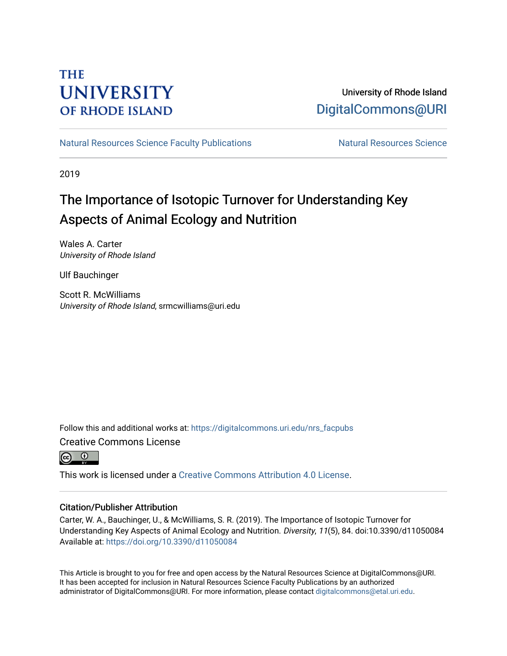## **THE UNIVERSITY OF RHODE ISLAND**

### University of Rhode Island [DigitalCommons@URI](https://digitalcommons.uri.edu/)

[Natural Resources Science Faculty Publications](https://digitalcommons.uri.edu/nrs_facpubs) Natural Resources Science

2019

# The Importance of Isotopic Turnover for Understanding Key Aspects of Animal Ecology and Nutrition

Wales A. Carter University of Rhode Island

Ulf Bauchinger

Scott R. McWilliams University of Rhode Island, srmcwilliams@uri.edu

Follow this and additional works at: [https://digitalcommons.uri.edu/nrs\\_facpubs](https://digitalcommons.uri.edu/nrs_facpubs?utm_source=digitalcommons.uri.edu%2Fnrs_facpubs%2F132&utm_medium=PDF&utm_campaign=PDFCoverPages)  Creative Commons License



This work is licensed under a [Creative Commons Attribution 4.0 License](https://creativecommons.org/licenses/by/4.0/).

### Citation/Publisher Attribution

Carter, W. A., Bauchinger, U., & McWilliams, S. R. (2019). The Importance of Isotopic Turnover for Understanding Key Aspects of Animal Ecology and Nutrition. Diversity, 11(5), 84. doi:10.3390/d11050084 Available at:<https://doi.org/10.3390/d11050084>

This Article is brought to you for free and open access by the Natural Resources Science at DigitalCommons@URI. It has been accepted for inclusion in Natural Resources Science Faculty Publications by an authorized administrator of DigitalCommons@URI. For more information, please contact [digitalcommons@etal.uri.edu.](mailto:digitalcommons@etal.uri.edu)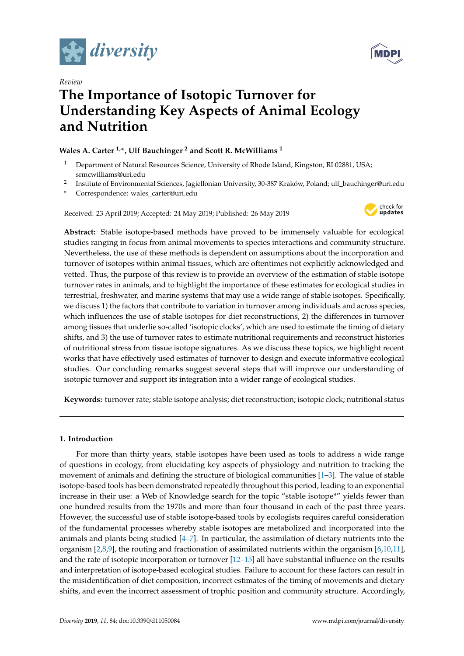





# **The Importance of Isotopic Turnover for Understanding Key Aspects of Animal Ecology and Nutrition**

### **Wales A. Carter 1,\*, Ulf Bauchinger <sup>2</sup> and Scott R. McWilliams <sup>1</sup>**

- <sup>1</sup> Department of Natural Resources Science, University of Rhode Island, Kingston, RI 02881, USA; srmcwilliams@uri.edu
- 2 Institute of Environmental Sciences, Jagiellonian University, 30-387 Kraków, Poland; ulf\_bauchinger@uri.edu
- **\*** Correspondence: wales\_carter@uri.edu

Received: 23 April 2019; Accepted: 24 May 2019; Published: 26 May 2019



**Abstract:** Stable isotope-based methods have proved to be immensely valuable for ecological studies ranging in focus from animal movements to species interactions and community structure. Nevertheless, the use of these methods is dependent on assumptions about the incorporation and turnover of isotopes within animal tissues, which are oftentimes not explicitly acknowledged and vetted. Thus, the purpose of this review is to provide an overview of the estimation of stable isotope turnover rates in animals, and to highlight the importance of these estimates for ecological studies in terrestrial, freshwater, and marine systems that may use a wide range of stable isotopes. Specifically, we discuss 1) the factors that contribute to variation in turnover among individuals and across species, which influences the use of stable isotopes for diet reconstructions, 2) the differences in turnover among tissues that underlie so-called 'isotopic clocks', which are used to estimate the timing of dietary shifts, and 3) the use of turnover rates to estimate nutritional requirements and reconstruct histories of nutritional stress from tissue isotope signatures. As we discuss these topics, we highlight recent works that have effectively used estimates of turnover to design and execute informative ecological studies. Our concluding remarks suggest several steps that will improve our understanding of isotopic turnover and support its integration into a wider range of ecological studies.

**Keywords:** turnover rate; stable isotope analysis; diet reconstruction; isotopic clock; nutritional status

#### **1. Introduction**

For more than thirty years, stable isotopes have been used as tools to address a wide range of questions in ecology, from elucidating key aspects of physiology and nutrition to tracking the movement of animals and defining the structure of biological communities [\[1–](#page-14-0)[3\]](#page-14-1). The value of stable isotope-based tools has been demonstrated repeatedly throughout this period, leading to an exponential increase in their use: a Web of Knowledge search for the topic "stable isotope\*" yields fewer than one hundred results from the 1970s and more than four thousand in each of the past three years. However, the successful use of stable isotope-based tools by ecologists requires careful consideration of the fundamental processes whereby stable isotopes are metabolized and incorporated into the animals and plants being studied [\[4](#page-14-2)[–7\]](#page-14-3). In particular, the assimilation of dietary nutrients into the organism [\[2](#page-14-4)[,8](#page-15-0)[,9\]](#page-15-1), the routing and fractionation of assimilated nutrients within the organism [\[6,](#page-14-5)[10,](#page-15-2)[11\]](#page-15-3), and the rate of isotopic incorporation or turnover [\[12–](#page-15-4)[15\]](#page-15-5) all have substantial influence on the results and interpretation of isotope-based ecological studies. Failure to account for these factors can result in the misidentification of diet composition, incorrect estimates of the timing of movements and dietary shifts, and even the incorrect assessment of trophic position and community structure. Accordingly,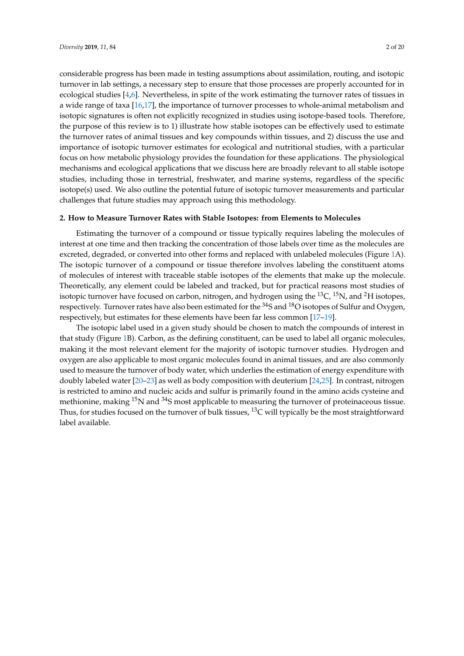considerable progress has been made in testing assumptions about assimilation, routing, and isotopic turnover in lab settings, a necessary step to ensure that those processes are properly accounted for in ecological studies [\[4](#page-14-2)[,6\]](#page-14-5). Nevertheless, in spite of the work estimating the turnover rates of tissues in a wide range of taxa [\[16,](#page-15-6)[17\]](#page-15-7), the importance of turnover processes to whole-animal metabolism and isotopic signatures is often not explicitly recognized in studies using isotope-based tools. Therefore, the purpose of this review is to 1) illustrate how stable isotopes can be effectively used to estimate the turnover rates of animal tissues and key compounds within tissues, and 2) discuss the use and importance of isotopic turnover estimates for ecological and nutritional studies, with a particular focus on how metabolic physiology provides the foundation for these applications. The physiological mechanisms and ecological applications that we discuss here are broadly relevant to all stable isotope studies, including those in terrestrial, freshwater, and marine systems, regardless of the specific isotope(s) used. We also outline the potential future of isotopic turnover measurements and particular challenges that future studies may approach using this methodology.

#### **2. How to Measure Turnover Rates with Stable Isotopes: from Elements to Molecules**

Estimating the turnover of a compound or tissue typically requires labeling the molecules of interest at one time and then tracking the concentration of those labels over time as the molecules are excreted, degraded, or converted into other forms and replaced with unlabeled molecules (Figure [1A](#page-3-0)). The isotopic turnover of a compound or tissue therefore involves labeling the constituent atoms of molecules of interest with traceable stable isotopes of the elements that make up the molecule. Theoretically, any element could be labeled and tracked, but for practical reasons most studies of isotopic turnover have focused on carbon, nitrogen, and hydrogen using the <sup>13</sup>C, <sup>15</sup>N, and <sup>2</sup>H isotopes, respectively. Turnover rates have also been estimated for the <sup>34</sup>S and <sup>18</sup>O isotopes of Sulfur and Oxygen, respectively, but estimates for these elements have been far less common [\[17](#page-15-7)[–19\]](#page-15-8).

The isotopic label used in a given study should be chosen to match the compounds of interest in that study (Figure [1B](#page-3-0)). Carbon, as the defining constituent, can be used to label all organic molecules, making it the most relevant element for the majority of isotopic turnover studies. Hydrogen and oxygen are also applicable to most organic molecules found in animal tissues, and are also commonly used to measure the turnover of body water, which underlies the estimation of energy expenditure with doubly labeled water [\[20](#page-15-9)[–23\]](#page-15-10) as well as body composition with deuterium [\[24,](#page-15-11)[25\]](#page-15-12). In contrast, nitrogen is restricted to amino and nucleic acids and sulfur is primarily found in the amino acids cysteine and methionine, making  $^{15}N$  and  $^{34}S$  most applicable to measuring the turnover of proteinaceous tissue. Thus, for studies focused on the turnover of bulk tissues,  $^{13}$ C will typically be the most straightforward label available.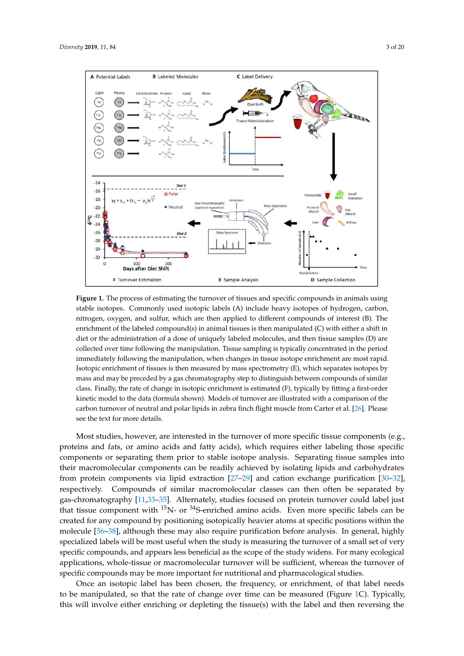

<span id="page-3-0"></span>

**Figure 1.** The process of estimating the turnover of tissues and specific compounds in animals using **Figure 1.** The process of estimating the turnover of tissues and specific compounds in animals using stable isotopes. Commonly used isotopic labels (A) include heavy isotopes of hydrogen, carbon, stable isotopes. Commonly used isotopic labels (A) include heavy isotopes of hydrogen, carbon, nitrogen, oxygen, and sulfur, which are then applied to different compounds of interest (B). The nitrogen, oxygen, and sulfur, which are then applied to different compounds of interest (B). The enrichment of the labeled compound(s) in animal tissues is then manipulated  $(C)$  with either a shift in diet or the administration of a dose of uniquely labeled molecules, and then tissue samples (D) are collected over time following the manipulation. Tissue sampling is typically concentrated in the period collected over time following the manipulation. Tissue sampling is typically concentrated in the period<br>immediately following the manipulation, when changes in tissue isotope enrichment are most rapid. Isotopic enrichment of tissues is then measured by mass spectrometry  $(E)$ , which separates isotopes by mass and may be preceded by a gas chromatography step to distinguish between compounds of similar class. Finally, the rate of change in isotopic enrichment is estimated  $(F)$ , typically by fitting a first-order Isotopic enrichment of tissues is then measured by mass spectrometry (E), which separates isotopes by<br>mass and may be preceded by a gas chromatography step to distinguish between compounds of similar<br>class. Finally, the ra carbon turnover of neutral and polar lipids in zebra finch flight muscle from Carter et al. [\[26\]](#page-15-13). Please see the text for more details.

Most studies, however, are interested in the turnover of more specific tissue components (e.g., Most studies, however, are interested in the turnover of more specific tissue components (e.g., proteins and fats, or amino acids and fatty acids), which requires either labeling those specific proteins and fats, or amino acids and fatty acids), which requires either labeling those specific components or separating them prior to stable isotope analysis. Separating tissue samples into their macromolecular components can be readily achieved by isolating lipids and carbohydrates protein components via lipid extraction [27–29] and cation exchange purification [30–32], from protein components via lipid extraction [\[27–](#page-15-14)[29\]](#page-15-15) and cation exchange purification [\[30](#page-16-0)[–32\]](#page-16-1), respectively. Compounds of similar macromolecular classes can then often be separated by gas-chromatography [\[11,](#page-15-3)[33](#page-16-2)[–35\]](#page-16-3). Alternately, studies focused on protein turnover could label just that tissue component with  $\mathrm{^{15}N}$ - or  $\mathrm{^{34}S}$ -enriched amino acids. Even more specific labels can be created for any compound by positioning isotopically heavier atoms at specific positions within the molecule [\[36–](#page-16-4)[38\]](#page-16-5), although these may also require purification before analysis. In general, highly specialized labels will be most useful when the study is measuring the turnover of a small set of very compounds, and appears less beneficial as the scope of the study widens. For many ecological specific compounds, and appears less beneficial as the scope of the study widens. For many ecological applications, whole-tissue or macromolecular turnover will be sufficient, whereas the turnover of applications, whole-tissue or macromolecular turnover will be sufficient, whereas the turnover of specific compounds may be more important for nutritional and pharmacological studies. specific compounds may be more important for nutritional and pharmacological studies.

Once an isotopic label has been chosen, the frequency, or enrichment, of that label needs to be manipulated, so that the rate of change over time can be measured (Figure 1C). Typ[ica](#page-3-0)lly, this will involve either enriching or depleting the tissue(s) with the label and then reversing the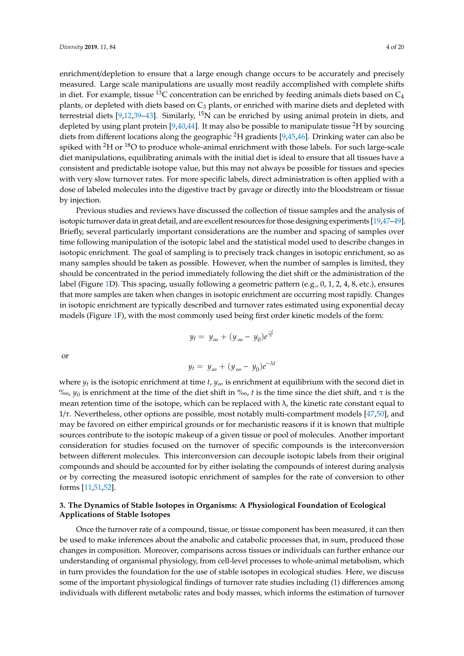enrichment/depletion to ensure that a large enough change occurs to be accurately and precisely measured. Large scale manipulations are usually most readily accomplished with complete shifts in diet. For example, tissue <sup>13</sup>C concentration can be enriched by feeding animals diets based on  $C_4$ plants, or depleted with diets based on  $C_3$  plants, or enriched with marine diets and depleted with terrestrial diets [\[9,](#page-15-1)[12,](#page-15-4)[39–](#page-16-6)[43\]](#page-16-7). Similarly,  $^{15}N$  can be enriched by using animal protein in diets, and depleted by using plant protein [\[9](#page-15-1)[,40](#page-16-8)[,44\]](#page-16-9). It may also be possible to manipulate tissue <sup>2</sup>H by sourcing diets from different locations along the geographic <sup>2</sup>H gradients [\[9](#page-15-1)[,45](#page-16-10)[,46\]](#page-16-11). Drinking water can also be spiked with  ${}^{2}$ H or  ${}^{18}$ O to produce whole-animal enrichment with those labels. For such large-scale diet manipulations, equilibrating animals with the initial diet is ideal to ensure that all tissues have a consistent and predictable isotope value, but this may not always be possible for tissues and species with very slow turnover rates. For more specific labels, direct administration is often applied with a dose of labeled molecules into the digestive tract by gavage or directly into the bloodstream or tissue by injection.

Previous studies and reviews have discussed the collection of tissue samples and the analysis of isotopic turnover data in great detail, and are excellent resources for those designing experiments [\[19,](#page-15-8)[47–](#page-16-12)[49\]](#page-16-13). Briefly, several particularly important considerations are the number and spacing of samples over time following manipulation of the isotopic label and the statistical model used to describe changes in isotopic enrichment. The goal of sampling is to precisely track changes in isotopic enrichment, so as many samples should be taken as possible. However, when the number of samples is limited, they should be concentrated in the period immediately following the diet shift or the administration of the label (Figure [1D](#page-3-0)). This spacing, usually following a geometric pattern (e.g., 0, 1, 2, 4, 8, etc.), ensures that more samples are taken when changes in isotopic enrichment are occurring most rapidly. Changes in isotopic enrichment are typically described and turnover rates estimated using exponential decay models (Figure [1F](#page-3-0)), with the most commonly used being first order kinetic models of the form:

$$
y_t = y_\infty + (y_\infty - y_0)e^{\frac{-t}{\tau}}
$$

or

$$
y_t = y_\infty + (y_\infty - y_0)e^{-\lambda t}
$$

where  $y_t$  is the isotopic enrichment at time  $t$ ,  $y_\infty$  is enrichment at equilibrium with the second diet in  $\%$ <sub>0</sub>,  $y$ <sup>0</sup> is enrichment at the time of the diet shift in  $\%$ <sub>0</sub>, *t* is the time since the diet shift, and τ is the mean retention time of the isotope, which can be replaced with  $\lambda$ , the kinetic rate constant equal to  $1/τ$ . Nevertheless, other options are possible, most notably multi-compartment models [\[47,](#page-16-12)[50\]](#page-16-14), and may be favored on either empirical grounds or for mechanistic reasons if it is known that multiple sources contribute to the isotopic makeup of a given tissue or pool of molecules. Another important consideration for studies focused on the turnover of specific compounds is the interconversion between different molecules. This interconversion can decouple isotopic labels from their original compounds and should be accounted for by either isolating the compounds of interest during analysis or by correcting the measured isotopic enrichment of samples for the rate of conversion to other forms [\[11,](#page-15-3)[51](#page-16-15)[,52\]](#page-16-16).

#### **3. The Dynamics of Stable Isotopes in Organisms: A Physiological Foundation of Ecological Applications of Stable Isotopes**

Once the turnover rate of a compound, tissue, or tissue component has been measured, it can then be used to make inferences about the anabolic and catabolic processes that, in sum, produced those changes in composition. Moreover, comparisons across tissues or individuals can further enhance our understanding of organismal physiology, from cell-level processes to whole-animal metabolism, which in turn provides the foundation for the use of stable isotopes in ecological studies. Here, we discuss some of the important physiological findings of turnover rate studies including (1) differences among individuals with different metabolic rates and body masses, which informs the estimation of turnover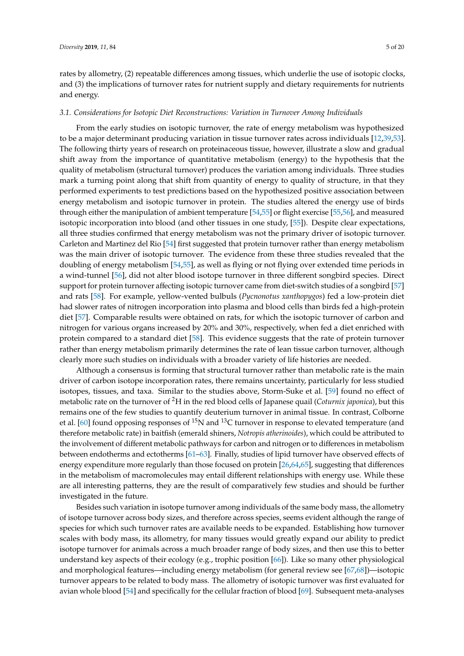rates by allometry, (2) repeatable differences among tissues, which underlie the use of isotopic clocks, and (3) the implications of turnover rates for nutrient supply and dietary requirements for nutrients and energy.

#### *3.1. Considerations for Isotopic Diet Reconstructions: Variation in Turnover Among Individuals*

From the early studies on isotopic turnover, the rate of energy metabolism was hypothesized to be a major determinant producing variation in tissue turnover rates across individuals [\[12,](#page-15-4)[39,](#page-16-6)[53\]](#page-16-17). The following thirty years of research on proteinaceous tissue, however, illustrate a slow and gradual shift away from the importance of quantitative metabolism (energy) to the hypothesis that the quality of metabolism (structural turnover) produces the variation among individuals. Three studies mark a turning point along that shift from quantity of energy to quality of structure, in that they performed experiments to test predictions based on the hypothesized positive association between energy metabolism and isotopic turnover in protein. The studies altered the energy use of birds through either the manipulation of ambient temperature [\[54,](#page-16-18)[55\]](#page-17-0) or flight exercise [\[55,](#page-17-0)[56\]](#page-17-1), and measured isotopic incorporation into blood (and other tissues in one study, [\[55\]](#page-17-0)). Despite clear expectations, all three studies confirmed that energy metabolism was not the primary driver of isotopic turnover. Carleton and Martinez del Rio [\[54\]](#page-16-18) first suggested that protein turnover rather than energy metabolism was the main driver of isotopic turnover. The evidence from these three studies revealed that the doubling of energy metabolism [\[54](#page-16-18)[,55\]](#page-17-0), as well as flying or not flying over extended time periods in a wind-tunnel [\[56\]](#page-17-1), did not alter blood isotope turnover in three different songbird species. Direct support for protein turnover affecting isotopic turnover came from diet-switch studies of a songbird [\[57\]](#page-17-2) and rats [\[58\]](#page-17-3). For example, yellow-vented bulbuls (*Pycnonotus xanthopygos*) fed a low-protein diet had slower rates of nitrogen incorporation into plasma and blood cells than birds fed a high-protein diet [\[57\]](#page-17-2). Comparable results were obtained on rats, for which the isotopic turnover of carbon and nitrogen for various organs increased by 20% and 30%, respectively, when fed a diet enriched with protein compared to a standard diet [\[58\]](#page-17-3). This evidence suggests that the rate of protein turnover rather than energy metabolism primarily determines the rate of lean tissue carbon turnover, although clearly more such studies on individuals with a broader variety of life histories are needed.

Although a consensus is forming that structural turnover rather than metabolic rate is the main driver of carbon isotope incorporation rates, there remains uncertainty, particularly for less studied isotopes, tissues, and taxa. Similar to the studies above, Storm-Suke et al. [\[59\]](#page-17-4) found no effect of metabolic rate on the turnover of <sup>2</sup>H in the red blood cells of Japanese quail (*Coturnix japonica*), but this remains one of the few studies to quantify deuterium turnover in animal tissue. In contrast, Colborne et al. [\[60\]](#page-17-5) found opposing responses of  $^{15}N$  and  $^{13}C$  turnover in response to elevated temperature (and therefore metabolic rate) in baitfish (emerald shiners, *Notropis atherinoides*), which could be attributed to the involvement of different metabolic pathways for carbon and nitrogen or to differences in metabolism between endotherms and ectotherms [\[61](#page-17-6)[–63\]](#page-17-7). Finally, studies of lipid turnover have observed effects of energy expenditure more regularly than those focused on protein [\[26,](#page-15-13)[64,](#page-17-8)[65\]](#page-17-9), suggesting that differences in the metabolism of macromolecules may entail different relationships with energy use. While these are all interesting patterns, they are the result of comparatively few studies and should be further investigated in the future.

Besides such variation in isotope turnover among individuals of the same body mass, the allometry of isotope turnover across body sizes, and therefore across species, seems evident although the range of species for which such turnover rates are available needs to be expanded. Establishing how turnover scales with body mass, its allometry, for many tissues would greatly expand our ability to predict isotope turnover for animals across a much broader range of body sizes, and then use this to better understand key aspects of their ecology (e.g., trophic position [\[66\]](#page-17-10)). Like so many other physiological and morphological features—including energy metabolism (for general review see [\[67,](#page-17-11)[68\]](#page-17-12))—isotopic turnover appears to be related to body mass. The allometry of isotopic turnover was first evaluated for avian whole blood [\[54\]](#page-16-18) and specifically for the cellular fraction of blood [\[69\]](#page-17-13). Subsequent meta-analyses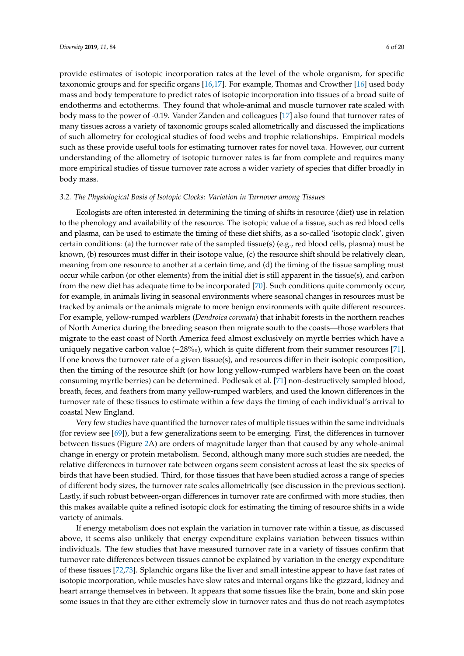provide estimates of isotopic incorporation rates at the level of the whole organism, for specific taxonomic groups and for specific organs [\[16](#page-15-6)[,17\]](#page-15-7). For example, Thomas and Crowther [\[16\]](#page-15-6) used body mass and body temperature to predict rates of isotopic incorporation into tissues of a broad suite of endotherms and ectotherms. They found that whole-animal and muscle turnover rate scaled with body mass to the power of -0.19. Vander Zanden and colleagues [\[17\]](#page-15-7) also found that turnover rates of many tissues across a variety of taxonomic groups scaled allometrically and discussed the implications of such allometry for ecological studies of food webs and trophic relationships. Empirical models such as these provide useful tools for estimating turnover rates for novel taxa. However, our current understanding of the allometry of isotopic turnover rates is far from complete and requires many more empirical studies of tissue turnover rate across a wider variety of species that differ broadly in body mass.

#### *3.2. The Physiological Basis of Isotopic Clocks: Variation in Turnover among Tissues*

Ecologists are often interested in determining the timing of shifts in resource (diet) use in relation to the phenology and availability of the resource. The isotopic value of a tissue, such as red blood cells and plasma, can be used to estimate the timing of these diet shifts, as a so-called 'isotopic clock', given certain conditions: (a) the turnover rate of the sampled tissue(s) (e.g., red blood cells, plasma) must be known, (b) resources must differ in their isotope value, (c) the resource shift should be relatively clean, meaning from one resource to another at a certain time, and (d) the timing of the tissue sampling must occur while carbon (or other elements) from the initial diet is still apparent in the tissue(s), and carbon from the new diet has adequate time to be incorporated [\[70\]](#page-17-14). Such conditions quite commonly occur, for example, in animals living in seasonal environments where seasonal changes in resources must be tracked by animals or the animals migrate to more benign environments with quite different resources. For example, yellow-rumped warblers (*Dendroica coronata*) that inhabit forests in the northern reaches of North America during the breeding season then migrate south to the coasts—those warblers that migrate to the east coast of North America feed almost exclusively on myrtle berries which have a uniquely negative carbon value (−28%), which is quite different from their summer resources [\[71\]](#page-17-15). If one knows the turnover rate of a given tissue(s), and resources differ in their isotopic composition, then the timing of the resource shift (or how long yellow-rumped warblers have been on the coast consuming myrtle berries) can be determined. Podlesak et al. [\[71\]](#page-17-15) non-destructively sampled blood, breath, feces, and feathers from many yellow-rumped warblers, and used the known differences in the turnover rate of these tissues to estimate within a few days the timing of each individual's arrival to coastal New England.

Very few studies have quantified the turnover rates of multiple tissues within the same individuals (for review see [\[69\]](#page-17-13)), but a few generalizations seem to be emerging. First, the differences in turnover between tissues (Figure [2A](#page-7-0)) are orders of magnitude larger than that caused by any whole-animal change in energy or protein metabolism. Second, although many more such studies are needed, the relative differences in turnover rate between organs seem consistent across at least the six species of birds that have been studied. Third, for those tissues that have been studied across a range of species of different body sizes, the turnover rate scales allometrically (see discussion in the previous section). Lastly, if such robust between-organ differences in turnover rate are confirmed with more studies, then this makes available quite a refined isotopic clock for estimating the timing of resource shifts in a wide variety of animals.

If energy metabolism does not explain the variation in turnover rate within a tissue, as discussed above, it seems also unlikely that energy expenditure explains variation between tissues within individuals. The few studies that have measured turnover rate in a variety of tissues confirm that turnover rate differences between tissues cannot be explained by variation in the energy expenditure of these tissues [\[72](#page-17-16)[,73\]](#page-17-17). Splanchic organs like the liver and small intestine appear to have fast rates of isotopic incorporation, while muscles have slow rates and internal organs like the gizzard, kidney and heart arrange themselves in between. It appears that some tissues like the brain, bone and skin pose some issues in that they are either extremely slow in turnover rates and thus do not reach asymptotes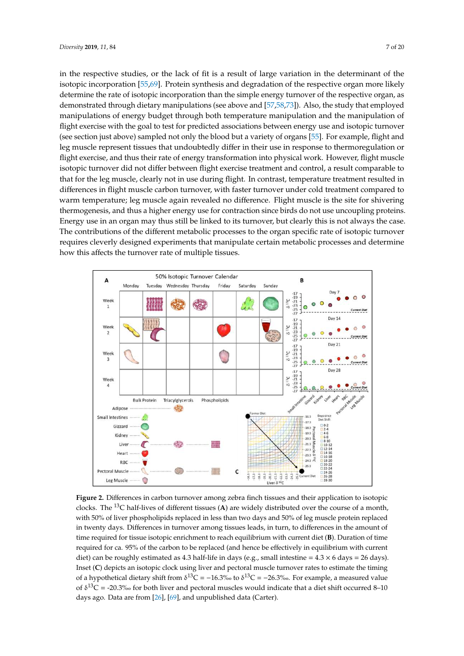in the respective studies, or the lack of fit is a result of large variation in the determinant of the isotopic incorporation [\[55,](#page-17-0)[69\]](#page-17-13). Protein synthesis and degradation of the respective organ more likely determine the rate of isotopic incorporation than the simple energy turnover of the respective organ, as demonstrated through dietary manipulations (see above and [\[57,](#page-17-2)[58,](#page-17-3)[73\]](#page-17-17)). Also, the study that employed *Diversity* **2019**, *11*, x FOR PEER REVIEW 7 of 20 manipulations of energy budget through both temperature manipulation and the manipulation of flight exercise with the goal to test for predicted associations between energy use and isotopic turnover (see section just above) sampled not only the blood but a variety of organs [55]. For example, flight and leg muscle represent tissues that undoubtedly differ in their use in response to thermoregulation or flight exercise, and thus their rate of energy transformation into physical work. However, flight muscle isotopic turnover did not differ between flight exercise treatment and control, a result comparable to that for the leg muscle, clearly not in use during flight. In contrast, temperature treatment resulted in differences in flight muscle carbon turnover, with faster turnover under cold treatment compared to warm temperature; leg muscle again revealed no difference. Flight muscle is the site for shivering thermogenesis, and thus a higher energy use for contraction since birds do not use uncoupling proteins. Energy use in an organ may thus still be linked to its turnover, but clearly this is not always the case. Energy are in an eigentinally and standard to its turnover, sate creating and to not unity still case.<br>The contributions of the different metabolic processes to the organ specific rate of isotopic turnover requires cleverly designed experiments that manipulate certain metabolic processes and determine requires cleverly designed experiments that manipulate certain metabolic processes and determine how this affects the turnover rate of multiple tissues. quies ex very aesigned experiments that manipulate certain includedne processes and acternity

<span id="page-7-0"></span>

**Figure 2.** Differences in carbon turnover among zebra finch tissues and their application to isotopic **Figure 2.** Differences in carbon turnover among zebra finch tissues and their application to isotopic clocks. The 13C half-lives of different tissues (**A**) are widely distributed over the course of a month, clocks. The <sup>13</sup>C half-lives of different tissues (**A**) are widely distributed over the course of a month, with 50% of liver phospholipids replaced in less than two days and 50% of leg muscle protein replaced with 50% of liver phospholipids replaced in less than two days and 50% of leg muscle protein replaced in twenty days. Differences in turnover among tissues leads, in turn, to differences in the amount of in twenty days. Differences in turnover among tissues leads, in turn, to differences in the amount of time required for tissue isotopic enrichment to reach equilibrium with current diet (**B**). Duration of time required for tissue isotopic enrichment to reach equilibrium with current diet (**B**). Duration of time required for ca. 95% of the carbon to be replaced (and hence be effectively in equilibrium with current diet) can be roughly estimated as 4.3 half-life in days (e.g., small intestine =  $4.3 \times 6$  days =  $26$  days). Inset (C) depicts an isotopic clock using liver and pectoral muscle turnover rates to estimate the timing of a hypothetical dietary shift from  $\delta^{13}C = -16.3\%$  to  $\delta^{13}C = -26.3\%$ . For example, a measured value of δ<sup>13</sup>C = -20.3‰ for both liver and pectoral muscles would indicate that a diet shift occurred 8–10 days ago. Data are from [\[26\]](#page-15-13), [\[69\]](#page-17-13), and unpublished data (Carter).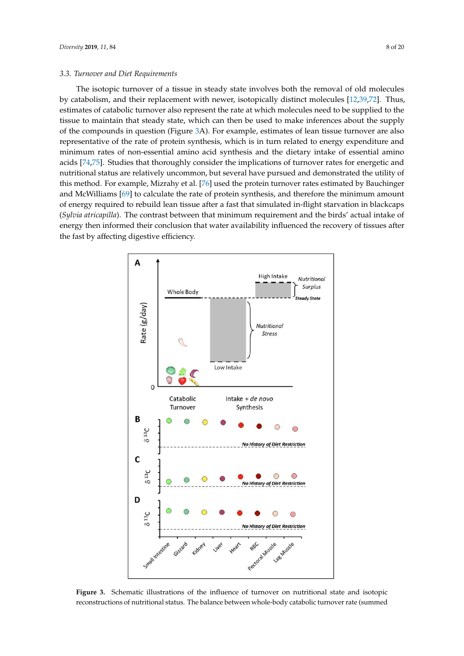#### *3.3. Turnover and Diet Requirements*

The isotopic turnover of a tissue in steady state involves both the removal of old molecules by catabolism, and their replacement with newer, isotopically distinct molecules [\[12](#page-15-4)[,39,](#page-16-6)[72\]](#page-17-16). Thus, estimates of catabolic turnover also represent the rate at which molecules need to be supplied to the tissue to maintain that steady state, which can then be used to make inferences about the supply of the compounds in question (Figure [3A](#page-8-0)). For example, estimates of lean tissue turnover are also the complement in question (1-gland cas). The channels of the massive that the supply of the supply expenditure and representative of the rate of protein synthesis, which is in turn related to energy expenditure and minimum rates of non-essential amino acid synthesis and the dietary intake of essential amino acids [\[74,](#page-17-18)[75\]](#page-17-19). Studies that thoroughly consider the implications of turnover rates for energetic and nutritional status are relatively uncommon, but several have pursued and demonstrated the utility of this method. For example, Mizrahy et al. [\[76\]](#page-17-20) used the protein turnover rates estimated by Bauchinger and McWilliams [69] to calculate the rate of protein synthesis, and therefore the minimum amount of energy required to rebuild lean tissue after a fast that simulated in-flight starvation in blackcaps (Sylvia atricapilla). The contrast between that minimum requirement and the birds' actual intake of energy then informed their conclusion that water availability influenced the recovery of tissues after the fast by affecting digestive efficiency. the compounds in question (Figure 3A). For example, example, example, experience  $\frac{1}{2}$  international theories of energy then informed the recovery of  $\frac{1}{2}$  in  $\frac{1}{2}$  in  $\frac{1}{2}$  in  $\frac{1}{2}$  in  $\frac{1}{2}$  in  $\frac{1}{2}$  in  $\frac{1}{2}$  in  $\frac{1}{2}$  in  $\frac{1}{2}$  in  $\frac{1}{2}$  in  $\frac{1}{2}$  in  $\frac{1$ 

<span id="page-8-0"></span>

**Figure 3.** Schematic illustrations of the influence of turnover on nutritional state and isotopic **Figure 3.** Schematic illustrations of the influence of turnover on nutritional state and isotopic reconstructions of nutritional status. The balance between whole-body catabolic turnover rate reconstructions of nutritional status. The balance between whole-body catabolic turnover rate (summed<br>.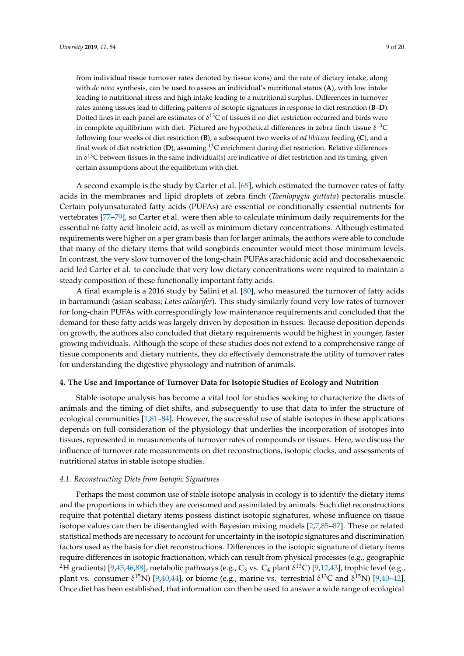from individual tissue turnover rates denoted by tissue icons) and the rate of dietary intake, along with *de novo* synthesis, can be used to assess an individual's nutritional status (**A**), with low intake leading to nutritional stress and high intake leading to a nutritional surplus. Differences in turnover rates among tissues lead to differing patterns of isotopic signatures in response to diet restriction (**B**–**D**). Dotted lines in each panel are estimates of  $\delta^{13}C$  of tissues if no diet restriction occurred and birds were in complete equilibrium with diet. Pictured are hypothetical differences in zebra finch tissue  $\delta^{13}C$ following four weeks of diet restriction (**B**), a subsequent two weeks of *ad libitum* feeding (**C**), and a final week of diet restriction (**D**), assuming <sup>13</sup>C enrichment during diet restriction. Relative differences in  $\delta^{13}$ C between tissues in the same individual(s) are indicative of diet restriction and its timing, given certain assumptions about the equilibrium with diet.

A second example is the study by Carter et al. [\[65\]](#page-17-9), which estimated the turnover rates of fatty acids in the membranes and lipid droplets of zebra finch (*Taeniopygia guttata*) pectoralis muscle. Certain polyunsaturated fatty acids (PUFAs) are essential or conditionally essential nutrients for vertebrates [\[77](#page-17-21)[–79\]](#page-18-0), so Carter et al. were then able to calculate minimum daily requirements for the essential n6 fatty acid linoleic acid, as well as minimum dietary concentrations. Although estimated requirements were higher on a per gram basis than for larger animals, the authors were able to conclude that many of the dietary items that wild songbirds encounter would meet those minimum levels. In contrast, the very slow turnover of the long-chain PUFAs arachidonic acid and docosahexaenoic acid led Carter et al. to conclude that very low dietary concentrations were required to maintain a steady composition of these functionally important fatty acids.

A final example is a 2016 study by Salini et al. [\[80\]](#page-18-1), who measured the turnover of fatty acids in barramundi (asian seabass; *Lates calcarifer*). This study similarly found very low rates of turnover for long-chain PUFAs with correspondingly low maintenance requirements and concluded that the demand for these fatty acids was largely driven by deposition in tissues. Because deposition depends on growth, the authors also concluded that dietary requirements would be highest in younger, faster growing individuals. Although the scope of these studies does not extend to a comprehensive range of tissue components and dietary nutrients, they do effectively demonstrate the utility of turnover rates for understanding the digestive physiology and nutrition of animals.

#### **4. The Use and Importance of Turnover Data for Isotopic Studies of Ecology and Nutrition**

Stable isotope analysis has become a vital tool for studies seeking to characterize the diets of animals and the timing of diet shifts, and subsequently to use that data to infer the structure of ecological communities [\[1](#page-14-0)[,81](#page-18-2)[–84\]](#page-18-3). However, the successful use of stable isotopes in these applications depends on full consideration of the physiology that underlies the incorporation of isotopes into tissues, represented in measurements of turnover rates of compounds or tissues. Here, we discuss the influence of turnover rate measurements on diet reconstructions, isotopic clocks, and assessments of nutritional status in stable isotope studies.

#### *4.1. Reconstructing Diets from Isotopic Signatures*

Perhaps the most common use of stable isotope analysis in ecology is to identify the dietary items and the proportions in which they are consumed and assimilated by animals. Such diet reconstructions require that potential dietary items possess distinct isotopic signatures, whose influence on tissue isotope values can then be disentangled with Bayesian mixing models [\[2,](#page-14-4)[7](#page-14-3)[,85](#page-18-4)[–87\]](#page-18-5). These or related statistical methods are necessary to account for uncertainty in the isotopic signatures and discrimination factors used as the basis for diet reconstructions. Differences in the isotopic signature of dietary items require differences in isotopic fractionation, which can result from physical processes (e.g., geographic <sup>2</sup>H gradients) [\[9](#page-15-1)[,45,](#page-16-10)[46,](#page-16-11)[88\]](#page-18-6), metabolic pathways (e.g., C<sub>3</sub> vs. C<sub>4</sub> plant δ<sup>13</sup>C) [\[9,](#page-15-1)[12](#page-15-4)[,43\]](#page-16-7), trophic level (e.g., plant vs. consumer δ<sup>15</sup>N) [\[9,](#page-15-1)[40,](#page-16-8)[44\]](#page-16-9), or biome (e.g., marine vs. terrestrial δ<sup>13</sup>C and δ<sup>15</sup>N) [9,[40–](#page-16-8)[42\]](#page-16-19). Once diet has been established, that information can then be used to answer a wide range of ecological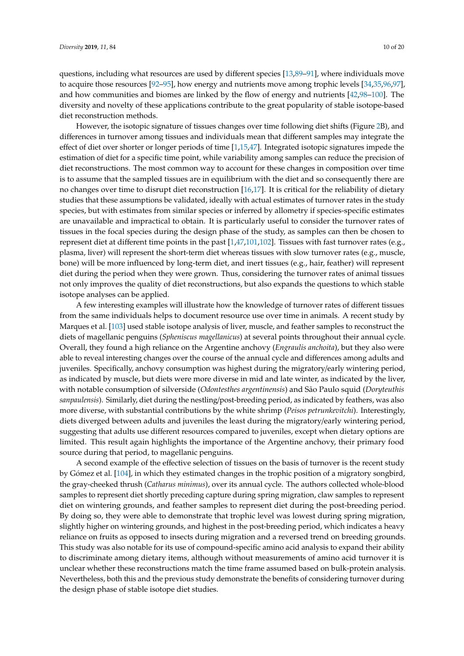questions, including what resources are used by different species [\[13,](#page-15-16)[89](#page-18-7)[–91\]](#page-18-8), where individuals move to acquire those resources [\[92](#page-18-9)[–95\]](#page-18-10), how energy and nutrients move among trophic levels [\[34](#page-16-20)[,35](#page-16-3)[,96](#page-18-11)[,97\]](#page-18-12), and how communities and biomes are linked by the flow of energy and nutrients [\[42,](#page-16-19)[98–](#page-18-13)[100\]](#page-19-0). The diversity and novelty of these applications contribute to the great popularity of stable isotope-based diet reconstruction methods.

However, the isotopic signature of tissues changes over time following diet shifts (Figure [2B](#page-7-0)), and differences in turnover among tissues and individuals mean that different samples may integrate the effect of diet over shorter or longer periods of time [\[1](#page-14-0)[,15](#page-15-5)[,47\]](#page-16-12). Integrated isotopic signatures impede the estimation of diet for a specific time point, while variability among samples can reduce the precision of diet reconstructions. The most common way to account for these changes in composition over time is to assume that the sampled tissues are in equilibrium with the diet and so consequently there are no changes over time to disrupt diet reconstruction [\[16](#page-15-6)[,17\]](#page-15-7). It is critical for the reliability of dietary studies that these assumptions be validated, ideally with actual estimates of turnover rates in the study species, but with estimates from similar species or inferred by allometry if species-specific estimates are unavailable and impractical to obtain. It is particularly useful to consider the turnover rates of tissues in the focal species during the design phase of the study, as samples can then be chosen to represent diet at different time points in the past [\[1,](#page-14-0)[47,](#page-16-12)[101,](#page-19-1)[102\]](#page-19-2). Tissues with fast turnover rates (e.g., plasma, liver) will represent the short-term diet whereas tissues with slow turnover rates (e.g., muscle, bone) will be more influenced by long-term diet, and inert tissues (e.g., hair, feather) will represent diet during the period when they were grown. Thus, considering the turnover rates of animal tissues not only improves the quality of diet reconstructions, but also expands the questions to which stable isotope analyses can be applied.

A few interesting examples will illustrate how the knowledge of turnover rates of different tissues from the same individuals helps to document resource use over time in animals. A recent study by Marques et al. [\[103\]](#page-19-3) used stable isotope analysis of liver, muscle, and feather samples to reconstruct the diets of magellanic penguins (*Spheniscus magellanicus*) at several points throughout their annual cycle. Overall, they found a high reliance on the Argentine anchovy (*Engraulis anchoita*), but they also were able to reveal interesting changes over the course of the annual cycle and differences among adults and juveniles. Specifically, anchovy consumption was highest during the migratory/early wintering period, as indicated by muscle, but diets were more diverse in mid and late winter, as indicated by the liver, with notable consumption of silverside (*Odontesthes argentinensis*) and São Paulo squid (*Doryteuthis sanpaulensis*). Similarly, diet during the nestling/post-breeding period, as indicated by feathers, was also more diverse, with substantial contributions by the white shrimp (*Peisos petrunkevitchi*). Interestingly, diets diverged between adults and juveniles the least during the migratory/early wintering period, suggesting that adults use different resources compared to juveniles, except when dietary options are limited. This result again highlights the importance of the Argentine anchovy, their primary food source during that period, to magellanic penguins.

A second example of the effective selection of tissues on the basis of turnover is the recent study by Gómez et al. [\[104\]](#page-19-4), in which they estimated changes in the trophic position of a migratory songbird, the gray-cheeked thrush (*Catharus minimus*), over its annual cycle. The authors collected whole-blood samples to represent diet shortly preceding capture during spring migration, claw samples to represent diet on wintering grounds, and feather samples to represent diet during the post-breeding period. By doing so, they were able to demonstrate that trophic level was lowest during spring migration, slightly higher on wintering grounds, and highest in the post-breeding period, which indicates a heavy reliance on fruits as opposed to insects during migration and a reversed trend on breeding grounds. This study was also notable for its use of compound-specific amino acid analysis to expand their ability to discriminate among dietary items, although without measurements of amino acid turnover it is unclear whether these reconstructions match the time frame assumed based on bulk-protein analysis. Nevertheless, both this and the previous study demonstrate the benefits of considering turnover during the design phase of stable isotope diet studies.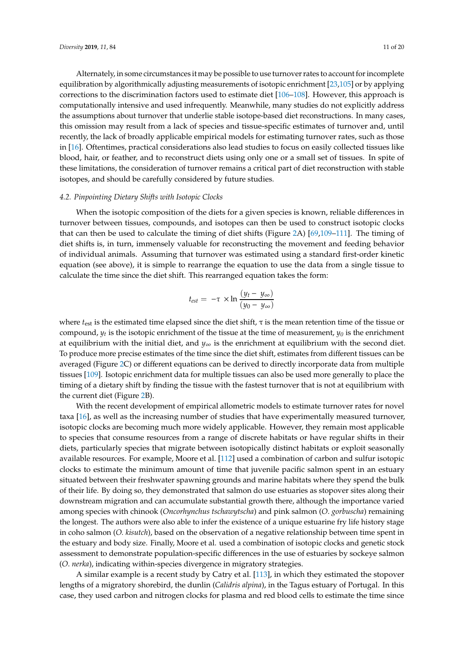Alternately, in some circumstances it may be possible to use turnover rates to account for incomplete equilibration by algorithmically adjusting measurements of isotopic enrichment [\[23,](#page-15-10)[105\]](#page-19-5) or by applying corrections to the discrimination factors used to estimate diet [\[106–](#page-19-6)[108\]](#page-19-7). However, this approach is computationally intensive and used infrequently. Meanwhile, many studies do not explicitly address the assumptions about turnover that underlie stable isotope-based diet reconstructions. In many cases, this omission may result from a lack of species and tissue-specific estimates of turnover and, until recently, the lack of broadly applicable empirical models for estimating turnover rates, such as those in [\[16\]](#page-15-6). Oftentimes, practical considerations also lead studies to focus on easily collected tissues like blood, hair, or feather, and to reconstruct diets using only one or a small set of tissues. In spite of these limitations, the consideration of turnover remains a critical part of diet reconstruction with stable isotopes, and should be carefully considered by future studies.

#### *4.2. Pinpointing Dietary Shifts with Isotopic Clocks*

When the isotopic composition of the diets for a given species is known, reliable differences in turnover between tissues, compounds, and isotopes can then be used to construct isotopic clocks that can then be used to calculate the timing of diet shifts (Figure [2A](#page-7-0)) [\[69,](#page-17-13)[109](#page-19-8)[–111\]](#page-19-9). The timing of diet shifts is, in turn, immensely valuable for reconstructing the movement and feeding behavior of individual animals. Assuming that turnover was estimated using a standard first-order kinetic equation (see above), it is simple to rearrange the equation to use the data from a single tissue to calculate the time since the diet shift. This rearranged equation takes the form:

$$
t_{est} = -\tau \times \ln \frac{(y_t - y_{\infty})}{(y_0 - y_{\infty})}
$$

where  $t_{est}$  is the estimated time elapsed since the diet shift,  $\tau$  is the mean retention time of the tissue or compound,  $y_t$  is the isotopic enrichment of the tissue at the time of measurement,  $y_0$  is the enrichment at equilibrium with the initial diet, and *y*∞ is the enrichment at equilibrium with the second diet. To produce more precise estimates of the time since the diet shift, estimates from different tissues can be averaged (Figure [2C](#page-7-0)) or different equations can be derived to directly incorporate data from multiple tissues [\[109\]](#page-19-8). Isotopic enrichment data for multiple tissues can also be used more generally to place the timing of a dietary shift by finding the tissue with the fastest turnover that is not at equilibrium with the current diet (Figure [2B](#page-7-0)).

With the recent development of empirical allometric models to estimate turnover rates for novel taxa [\[16\]](#page-15-6), as well as the increasing number of studies that have experimentally measured turnover, isotopic clocks are becoming much more widely applicable. However, they remain most applicable to species that consume resources from a range of discrete habitats or have regular shifts in their diets, particularly species that migrate between isotopically distinct habitats or exploit seasonally available resources. For example, Moore et al. [\[112\]](#page-19-10) used a combination of carbon and sulfur isotopic clocks to estimate the minimum amount of time that juvenile pacific salmon spent in an estuary situated between their freshwater spawning grounds and marine habitats where they spend the bulk of their life. By doing so, they demonstrated that salmon do use estuaries as stopover sites along their downstream migration and can accumulate substantial growth there, although the importance varied among species with chinook (*Oncorhynchus tschawytscha*) and pink salmon (*O*. *gorbuscha*) remaining the longest. The authors were also able to infer the existence of a unique estuarine fry life history stage in coho salmon (*O. kisutch*), based on the observation of a negative relationship between time spent in the estuary and body size. Finally, Moore et al. used a combination of isotopic clocks and genetic stock assessment to demonstrate population-specific differences in the use of estuaries by sockeye salmon (*O*. *nerka*), indicating within-species divergence in migratory strategies.

A similar example is a recent study by Catry et al. [\[113\]](#page-19-11), in which they estimated the stopover lengths of a migratory shorebird, the dunlin (*Calidris alpina*), in the Tagus estuary of Portugal. In this case, they used carbon and nitrogen clocks for plasma and red blood cells to estimate the time since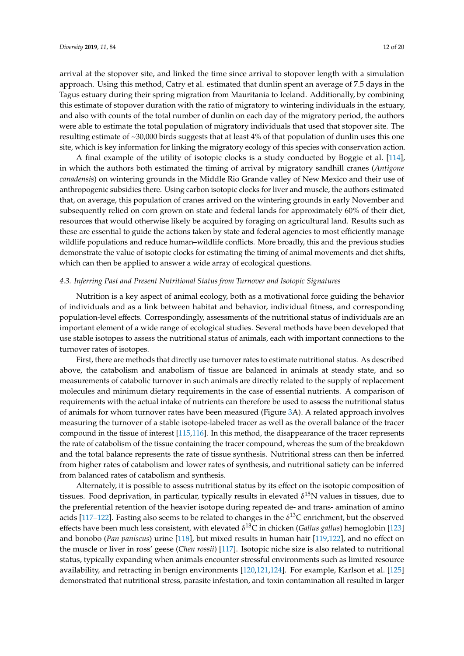arrival at the stopover site, and linked the time since arrival to stopover length with a simulation approach. Using this method, Catry et al. estimated that dunlin spent an average of 7.5 days in the Tagus estuary during their spring migration from Mauritania to Iceland. Additionally, by combining this estimate of stopover duration with the ratio of migratory to wintering individuals in the estuary, and also with counts of the total number of dunlin on each day of the migratory period, the authors were able to estimate the total population of migratory individuals that used that stopover site. The resulting estimate of ~30,000 birds suggests that at least 4% of that population of dunlin uses this one site, which is key information for linking the migratory ecology of this species with conservation action.

A final example of the utility of isotopic clocks is a study conducted by Boggie et al. [\[114\]](#page-19-12), in which the authors both estimated the timing of arrival by migratory sandhill cranes (*Antigone canadensis*) on wintering grounds in the Middle Rio Grande valley of New Mexico and their use of anthropogenic subsidies there. Using carbon isotopic clocks for liver and muscle, the authors estimated that, on average, this population of cranes arrived on the wintering grounds in early November and subsequently relied on corn grown on state and federal lands for approximately 60% of their diet, resources that would otherwise likely be acquired by foraging on agricultural land. Results such as these are essential to guide the actions taken by state and federal agencies to most efficiently manage wildlife populations and reduce human–wildlife conflicts. More broadly, this and the previous studies demonstrate the value of isotopic clocks for estimating the timing of animal movements and diet shifts, which can then be applied to answer a wide array of ecological questions.

#### *4.3. Inferring Past and Present Nutritional Status from Turnover and Isotopic Signatures*

Nutrition is a key aspect of animal ecology, both as a motivational force guiding the behavior of individuals and as a link between habitat and behavior, individual fitness, and corresponding population-level effects. Correspondingly, assessments of the nutritional status of individuals are an important element of a wide range of ecological studies. Several methods have been developed that use stable isotopes to assess the nutritional status of animals, each with important connections to the turnover rates of isotopes.

First, there are methods that directly use turnover rates to estimate nutritional status. As described above, the catabolism and anabolism of tissue are balanced in animals at steady state, and so measurements of catabolic turnover in such animals are directly related to the supply of replacement molecules and minimum dietary requirements in the case of essential nutrients. A comparison of requirements with the actual intake of nutrients can therefore be used to assess the nutritional status of animals for whom turnover rates have been measured (Figure [3A](#page-8-0)). A related approach involves measuring the turnover of a stable isotope-labeled tracer as well as the overall balance of the tracer compound in the tissue of interest [\[115,](#page-19-13)[116\]](#page-19-14). In this method, the disappearance of the tracer represents the rate of catabolism of the tissue containing the tracer compound, whereas the sum of the breakdown and the total balance represents the rate of tissue synthesis. Nutritional stress can then be inferred from higher rates of catabolism and lower rates of synthesis, and nutritional satiety can be inferred from balanced rates of catabolism and synthesis.

Alternately, it is possible to assess nutritional status by its effect on the isotopic composition of tissues. Food deprivation, in particular, typically results in elevated  $\delta^{15}N$  values in tissues, due to the preferential retention of the heavier isotope during repeated de- and trans- amination of amino acids [\[117–](#page-19-15)[122\]](#page-20-0). Fasting also seems to be related to changes in the  $\delta^{13}C$  enrichment, but the observed effects have been much less consistent, with elevated δ <sup>13</sup>C in chicken (*Gallus gallus*) hemoglobin [\[123\]](#page-20-1) and bonobo (*Pan paniscus*) urine [\[118\]](#page-19-16), but mixed results in human hair [\[119](#page-19-17)[,122\]](#page-20-0), and no effect on the muscle or liver in ross' geese (*Chen rossii*) [\[117\]](#page-19-15). Isotopic niche size is also related to nutritional status, typically expanding when animals encounter stressful environments such as limited resource availability, and retracting in benign environments [\[120](#page-19-18)[,121](#page-19-19)[,124\]](#page-20-2). For example, Karlson et al. [\[125\]](#page-20-3) demonstrated that nutritional stress, parasite infestation, and toxin contamination all resulted in larger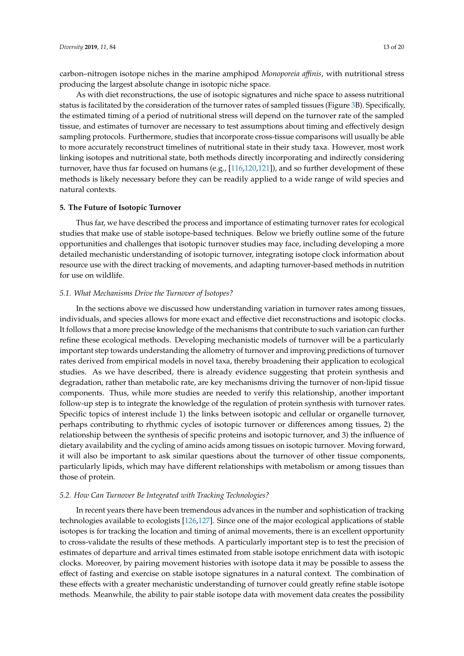carbon–nitrogen isotope niches in the marine amphipod *Monoporeia a*ffi*nis*, with nutritional stress producing the largest absolute change in isotopic niche space.

As with diet reconstructions, the use of isotopic signatures and niche space to assess nutritional status is facilitated by the consideration of the turnover rates of sampled tissues (Figure [3B](#page-8-0)). Specifically, the estimated timing of a period of nutritional stress will depend on the turnover rate of the sampled tissue, and estimates of turnover are necessary to test assumptions about timing and effectively design sampling protocols. Furthermore, studies that incorporate cross-tissue comparisons will usually be able to more accurately reconstruct timelines of nutritional state in their study taxa. However, most work linking isotopes and nutritional state, both methods directly incorporating and indirectly considering turnover, have thus far focused on humans (e.g., [\[116](#page-19-14)[,120](#page-19-18)[,121\]](#page-19-19)), and so further development of these methods is likely necessary before they can be readily applied to a wide range of wild species and natural contexts.

#### **5. The Future of Isotopic Turnover**

Thus far, we have described the process and importance of estimating turnover rates for ecological studies that make use of stable isotope-based techniques. Below we briefly outline some of the future opportunities and challenges that isotopic turnover studies may face, including developing a more detailed mechanistic understanding of isotopic turnover, integrating isotope clock information about resource use with the direct tracking of movements, and adapting turnover-based methods in nutrition for use on wildlife.

#### *5.1. What Mechanisms Drive the Turnover of Isotopes?*

In the sections above we discussed how understanding variation in turnover rates among tissues, individuals, and species allows for more exact and effective diet reconstructions and isotopic clocks. It follows that a more precise knowledge of the mechanisms that contribute to such variation can further refine these ecological methods. Developing mechanistic models of turnover will be a particularly important step towards understanding the allometry of turnover and improving predictions of turnover rates derived from empirical models in novel taxa, thereby broadening their application to ecological studies. As we have described, there is already evidence suggesting that protein synthesis and degradation, rather than metabolic rate, are key mechanisms driving the turnover of non-lipid tissue components. Thus, while more studies are needed to verify this relationship, another important follow-up step is to integrate the knowledge of the regulation of protein synthesis with turnover rates. Specific topics of interest include 1) the links between isotopic and cellular or organelle turnover, perhaps contributing to rhythmic cycles of isotopic turnover or differences among tissues, 2) the relationship between the synthesis of specific proteins and isotopic turnover, and 3) the influence of dietary availability and the cycling of amino acids among tissues on isotopic turnover. Moving forward, it will also be important to ask similar questions about the turnover of other tissue components, particularly lipids, which may have different relationships with metabolism or among tissues than those of protein.

#### *5.2. How Can Turnover Be Integrated with Tracking Technologies?*

In recent years there have been tremendous advances in the number and sophistication of tracking technologies available to ecologists [\[126,](#page-20-4)[127\]](#page-20-5). Since one of the major ecological applications of stable isotopes is for tracking the location and timing of animal movements, there is an excellent opportunity to cross-validate the results of these methods. A particularly important step is to test the precision of estimates of departure and arrival times estimated from stable isotope enrichment data with isotopic clocks. Moreover, by pairing movement histories with isotope data it may be possible to assess the effect of fasting and exercise on stable isotope signatures in a natural context. The combination of these effects with a greater mechanistic understanding of turnover could greatly refine stable isotope methods. Meanwhile, the ability to pair stable isotope data with movement data creates the possibility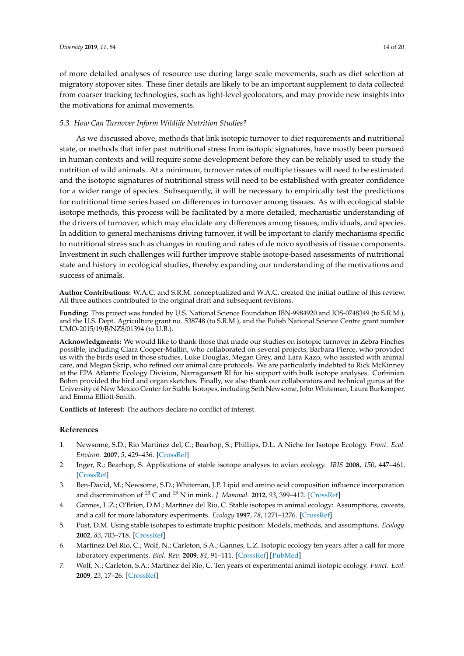of more detailed analyses of resource use during large scale movements, such as diet selection at migratory stopover sites. These finer details are likely to be an important supplement to data collected from coarser tracking technologies, such as light-level geolocators, and may provide new insights into the motivations for animal movements.

#### *5.3. How Can Turnover Inform Wildlife Nutrition Studies?*

As we discussed above, methods that link isotopic turnover to diet requirements and nutritional state, or methods that infer past nutritional stress from isotopic signatures, have mostly been pursued in human contexts and will require some development before they can be reliably used to study the nutrition of wild animals. At a minimum, turnover rates of multiple tissues will need to be estimated and the isotopic signatures of nutritional stress will need to be established with greater confidence for a wider range of species. Subsequently, it will be necessary to empirically test the predictions for nutritional time series based on differences in turnover among tissues. As with ecological stable isotope methods, this process will be facilitated by a more detailed, mechanistic understanding of the drivers of turnover, which may elucidate any differences among tissues, individuals, and species. In addition to general mechanisms driving turnover, it will be important to clarify mechanisms specific to nutritional stress such as changes in routing and rates of de novo synthesis of tissue components. Investment in such challenges will further improve stable isotope-based assessments of nutritional state and history in ecological studies, thereby expanding our understanding of the motivations and success of animals.

**Author Contributions:** W.A.C. and S.R.M. conceptualized and W.A.C. created the initial outline of this review. All three authors contributed to the original draft and subsequent revisions.

**Funding:** This project was funded by U.S. National Science Foundation IBN-9984920 and IOS-0748349 (to S.R.M.), and the U.S. Dept. Agriculture grant no. 538748 (to S.R.M.), and the Polish National Science Centre grant number UMO-2015/19/B/NZ8/01394 (to U.B.).

**Acknowledgments:** We would like to thank those that made our studies on isotopic turnover in Zebra Finches possible, including Clara Cooper-Mullin, who collaborated on several projects, Barbara Pierce, who provided us with the birds used in those studies, Luke Douglas, Megan Grey, and Lara Kazo, who assisted with animal care, and Megan Skrip, who refined our animal care protocols. We are particularly indebted to Rick McKinney at the EPA Atlantic Ecology Division, Narragansett RI for his support with bulk isotope analyses. Corbinian Böhm provided the bird and organ sketches. Finally, we also thank our collaborators and technical gurus at the University of New Mexico Center for Stable Isotopes, including Seth Newsome, John Whiteman, Laura Burkemper, and Emma Elliott-Smith.

**Conflicts of Interest:** The authors declare no conflict of interest.

#### **References**

- <span id="page-14-0"></span>1. Newsome, S.D.; Rio Martinez del, C.; Bearhop, S.; Phillips, D.L. A Niche for Isotope Ecology. *Front. Ecol. Environ.* **2007**, *5*, 429–436. [\[CrossRef\]](http://dx.doi.org/10.1890/060150.01)
- <span id="page-14-4"></span>2. Inger, R.; Bearhop, S. Applications of stable isotope analyses to avian ecology. *IBIS* **2008**, *150*, 447–461. [\[CrossRef\]](http://dx.doi.org/10.1111/j.1474-919X.2008.00839.x)
- <span id="page-14-1"></span>3. Ben-David, M.; Newsome, S.D.; Whiteman, J.P. Lipid and amino acid composition influence incorporation and discrimination of <sup>13</sup> C and <sup>15</sup> N in mink. *J. Mammal.* **2012**, *93*, 399–412. [\[CrossRef\]](http://dx.doi.org/10.1644/11-MAMM-S-168.1)
- <span id="page-14-2"></span>4. Gannes, L.Z.; O'Brien, D.M.; Martinez del Rio, C. Stable isotopes in animal ecology: Assumptions, caveats, and a call for more laboratory experiments. *Ecology* **1997**, *78*, 1271–1276. [\[CrossRef\]](http://dx.doi.org/10.1890/0012-9658(1997)078[1271:SIIAEA]2.0.CO;2)
- 5. Post, D.M. Using stable isotopes to estimate trophic position: Models, methods, and assumptions. *Ecology* **2002**, *83*, 703–718. [\[CrossRef\]](http://dx.doi.org/10.1890/0012-9658(2002)083[0703:USITET]2.0.CO;2)
- <span id="page-14-5"></span>6. Martínez Del Rio, C.; Wolf, N.; Carleton, S.A.; Gannes, L.Z. Isotopic ecology ten years after a call for more laboratory experiments. *Biol. Rev.* **2009**, *84*, 91–111. [\[CrossRef\]](http://dx.doi.org/10.1111/j.1469-185X.2008.00064.x) [\[PubMed\]](http://www.ncbi.nlm.nih.gov/pubmed/19046398)
- <span id="page-14-3"></span>7. Wolf, N.; Carleton, S.A.; Martinez del Rio, C. Ten years of experimental animal isotopic ecology. *Funct. Ecol.* **2009**, *23*, 17–26. [\[CrossRef\]](http://dx.doi.org/10.1111/j.1365-2435.2009.01529.x)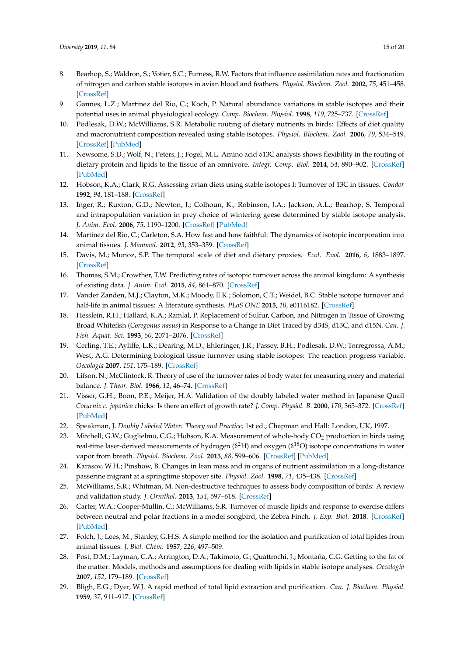- <span id="page-15-0"></span>8. Bearhop, S.; Waldron, S.; Votier, S.C.; Furness, R.W. Factors that influence assimilation rates and fractionation of nitrogen and carbon stable isotopes in avian blood and feathers. *Physiol. Biochem. Zool.* **2002**, *75*, 451–458. [\[CrossRef\]](http://dx.doi.org/10.1086/342800)
- <span id="page-15-1"></span>9. Gannes, L.Z.; Martinez del Rio, C.; Koch, P. Natural abundance variations in stable isotopes and their potential uses in animal physiological ecology. *Comp. Biochem. Physiol.* **1998**, *119*, 725–737. [\[CrossRef\]](http://dx.doi.org/10.1016/S1095-6433(98)01016-2)
- <span id="page-15-2"></span>10. Podlesak, D.W.; McWilliams, S.R. Metabolic routing of dietary nutrients in birds: Effects of diet quality and macronutrient composition revealed using stable isotopes. *Physiol. Biochem. Zool.* **2006**, *79*, 534–549. [\[CrossRef\]](http://dx.doi.org/10.1086/502813) [\[PubMed\]](http://www.ncbi.nlm.nih.gov/pubmed/16691519)
- <span id="page-15-3"></span>11. Newsome, S.D.; Wolf, N.; Peters, J.; Fogel, M.L. Amino acid δ13C analysis shows flexibility in the routing of dietary protein and lipids to the tissue of an omnivore. *Integr. Comp. Biol.* **2014**, *54*, 890–902. [\[CrossRef\]](http://dx.doi.org/10.1093/icb/icu106) [\[PubMed\]](http://www.ncbi.nlm.nih.gov/pubmed/25104856)
- <span id="page-15-4"></span>12. Hobson, K.A.; Clark, R.G. Assessing avian diets using stable isotopes I: Turnover of 13C in tissues. *Condor* **1992**, *94*, 181–188. [\[CrossRef\]](http://dx.doi.org/10.2307/1368807)
- <span id="page-15-16"></span>13. Inger, R.; Ruxton, G.D.; Newton, J.; Colhoun, K.; Robinson, J.A.; Jackson, A.L.; Bearhop, S. Temporal and intrapopulation variation in prey choice of wintering geese determined by stable isotope analysis. *J. Anim. Ecol.* **2006**, *75*, 1190–1200. [\[CrossRef\]](http://dx.doi.org/10.1111/j.1365-2656.2006.01142.x) [\[PubMed\]](http://www.ncbi.nlm.nih.gov/pubmed/16922855)
- 14. Martínez del Rio, C.; Carleton, S.A. How fast and how faithful: The dynamics of isotopic incorporation into animal tissues. *J. Mammal.* **2012**, *93*, 353–359. [\[CrossRef\]](http://dx.doi.org/10.1644/11-MAMM-S-165.1)
- <span id="page-15-5"></span>15. Davis, M.; Munoz, S.P. The temporal scale of diet and dietary proxies. *Ecol. Evol.* **2016**, *6*, 1883–1897. [\[CrossRef\]](http://dx.doi.org/10.1002/ece3.2054)
- <span id="page-15-6"></span>16. Thomas, S.M.; Crowther, T.W. Predicting rates of isotopic turnover across the animal kingdom: A synthesis of existing data. *J. Anim. Ecol.* **2015**, *84*, 861–870. [\[CrossRef\]](http://dx.doi.org/10.1111/1365-2656.12326)
- <span id="page-15-7"></span>17. Vander Zanden, M.J.; Clayton, M.K.; Moody, E.K.; Solomon, C.T.; Weidel, B.C. Stable isotope turnover and half-life in animal tissues: A literature synthesis. *PLoS ONE* **2015**, *10*, e0116182. [\[CrossRef\]](http://dx.doi.org/10.1371/journal.pone.0116182)
- 18. Hesslein, R.H.; Hallard, K.A.; Ramlal, P. Replacement of Sulfur, Carbon, and Nitrogen in Tissue of Growing Broad Whitefish (*Coregonus nasus*) in Response to a Change in Diet Traced by d34S, d13C, and d15N. *Can. J. Fish. Aquat. Sci.* **1993**, *50*, 2071–2076. [\[CrossRef\]](http://dx.doi.org/10.1139/f93-230)
- <span id="page-15-8"></span>19. Cerling, T.E.; Ayliffe, L.K.; Dearing, M.D.; Ehleringer, J.R.; Passey, B.H.; Podlesak, D.W.; Torregrossa, A.M.; West, A.G. Determining biological tissue turnover using stable isotopes: The reaction progress variable. *Oecologia* **2007**, *151*, 175–189. [\[CrossRef\]](http://dx.doi.org/10.1007/s00442-006-0571-4)
- <span id="page-15-9"></span>20. Lifson, N.; McClintock, R. Theory of use of the turnover rates of body water for measuring enery and material balance. *J. Theor. Biol.* **1966**, *12*, 46–74. [\[CrossRef\]](http://dx.doi.org/10.1016/0022-5193(66)90185-8)
- 21. Visser, G.H.; Boon, P.E.; Meijer, H.A. Validation of the doubly labeled water method in Japanese Quail *Coturnix c. japonica* chicks: Is there an effect of growth rate? *J. Comp. Physiol. B.* **2000**, *170*, 365–372. [\[CrossRef\]](http://dx.doi.org/10.1007/s003600000112) [\[PubMed\]](http://www.ncbi.nlm.nih.gov/pubmed/11083518)
- 22. Speakman, J. *Doubly Labeled Water: Theory and Practice;* 1st ed.; Chapman and Hall: London, UK, 1997.
- <span id="page-15-10"></span>23. Mitchell, G.W.; Guglielmo, C.G.; Hobson, K.A. Measurement of whole-body CO<sub>2</sub> production in birds using real-time laser-derived measurements of hydrogen ( $\delta^2$ H) and oxygen ( $\delta^{18}$ O) isotope concentrations in water vapor from breath. *Physiol. Biochem. Zool.* **2015**, *88*, 599–606. [\[CrossRef\]](http://dx.doi.org/10.1086/683013) [\[PubMed\]](http://www.ncbi.nlm.nih.gov/pubmed/26658408)
- <span id="page-15-11"></span>24. Karasov, W.H.; Pinshow, B. Changes in lean mass and in organs of nutrient assimilation in a long-distance passerine migrant at a springtime stopover site. *Physiol. Zool.* **1998**, *71*, 435–438. [\[CrossRef\]](http://dx.doi.org/10.1086/515428)
- <span id="page-15-12"></span>25. McWilliams, S.R.; Whitman, M. Non-destructive techniques to assess body composition of birds: A review and validation study. *J. Ornithol.* **2013**, *154*, 597–618. [\[CrossRef\]](http://dx.doi.org/10.1007/s10336-013-0946-3)
- <span id="page-15-13"></span>26. Carter, W.A.; Cooper-Mullin, C.; McWilliams, S.R. Turnover of muscle lipids and response to exercise differs between neutral and polar fractions in a model songbird, the Zebra Finch. *J. Exp. Biol.* **2018**. [\[CrossRef\]](http://dx.doi.org/10.1242/jeb.168823) [\[PubMed\]](http://www.ncbi.nlm.nih.gov/pubmed/29444847)
- <span id="page-15-14"></span>27. Folch, J.; Lees, M.; Stanley, G.H.S. A simple method for the isolation and purification of total lipides from animal tissues. *J. Biol. Chem.* **1957**, *226*, 497–509.
- 28. Post, D.M.; Layman, C.A.; Arrington, D.A.; Takimoto, G.; Quattrochi, J.; Montaña, C.G. Getting to the fat of the matter: Models, methods and assumptions for dealing with lipids in stable isotope analyses. *Oecologia* **2007**, *152*, 179–189. [\[CrossRef\]](http://dx.doi.org/10.1007/s00442-006-0630-x)
- <span id="page-15-15"></span>29. Bligh, E.G.; Dyer, W.J. A rapid method of total lipid extraction and purification. *Can. J. Biochem. Physiol.* **1959**, *37*, 911–917. [\[CrossRef\]](http://dx.doi.org/10.1139/y59-099)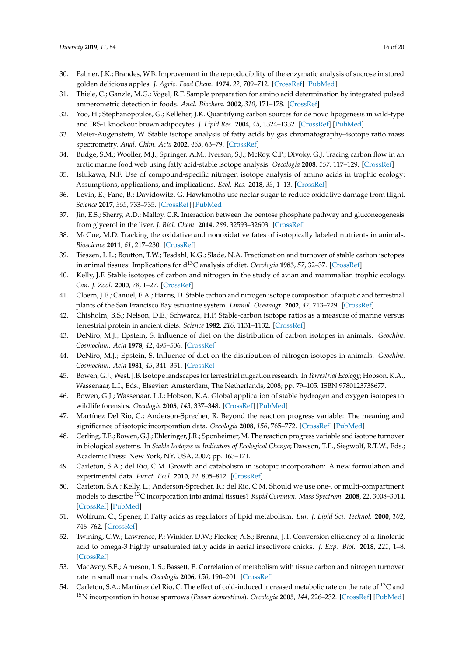- <span id="page-16-0"></span>30. Palmer, J.K.; Brandes, W.B. Improvement in the reproducibility of the enzymatic analysis of sucrose in stored golden delicious apples. *J. Agric. Food Chem.* **1974**, *22*, 709–712. [\[CrossRef\]](http://dx.doi.org/10.1021/jf60194a004) [\[PubMed\]](http://www.ncbi.nlm.nih.gov/pubmed/4841435)
- 31. Thiele, C.; Ganzle, M.G.; Vogel, R.F. Sample preparation for amino acid determination by integrated pulsed amperometric detection in foods. *Anal. Biochem.* **2002**, *310*, 171–178. [\[CrossRef\]](http://dx.doi.org/10.1016/S0003-2697(02)00283-X)
- <span id="page-16-1"></span>32. Yoo, H.; Stephanopoulos, G.; Kelleher, J.K. Quantifying carbon sources for de novo lipogenesis in wild-type and IRS-1 knockout brown adipocytes. *J. Lipid Res.* **2004**, *45*, 1324–1332. [\[CrossRef\]](http://dx.doi.org/10.1194/jlr.M400031-JLR200) [\[PubMed\]](http://www.ncbi.nlm.nih.gov/pubmed/15102881)
- <span id="page-16-2"></span>33. Meier-Augenstein, W. Stable isotope analysis of fatty acids by gas chromatography–isotope ratio mass spectrometry. *Anal. Chim. Acta* **2002**, *465*, 63–79. [\[CrossRef\]](http://dx.doi.org/10.1016/S0003-2670(02)00194-0)
- <span id="page-16-20"></span>34. Budge, S.M.; Wooller, M.J.; Springer, A.M.; Iverson, S.J.; McRoy, C.P.; Divoky, G.J. Tracing carbon flow in an arctic marine food web using fatty acid-stable isotope analysis. *Oecologia* **2008**, *157*, 117–129. [\[CrossRef\]](http://dx.doi.org/10.1007/s00442-008-1053-7)
- <span id="page-16-3"></span>35. Ishikawa, N.F. Use of compound-specific nitrogen isotope analysis of amino acids in trophic ecology: Assumptions, applications, and implications. *Ecol. Res.* **2018**, *33*, 1–13. [\[CrossRef\]](http://dx.doi.org/10.1007/s11284-018-1616-y)
- <span id="page-16-4"></span>36. Levin, E.; Fane, B.; Davidowitz, G. Hawkmoths use nectar sugar to reduce oxidative damage from flight. *Science* **2017**, *355*, 733–735. [\[CrossRef\]](http://dx.doi.org/10.1126/science.aah4634) [\[PubMed\]](http://www.ncbi.nlm.nih.gov/pubmed/28209896)
- 37. Jin, E.S.; Sherry, A.D.; Malloy, C.R. Interaction between the pentose phosphate pathway and gluconeogenesis from glycerol in the liver. *J. Biol. Chem.* **2014**, *289*, 32593–32603. [\[CrossRef\]](http://dx.doi.org/10.1074/jbc.M114.577692)
- <span id="page-16-5"></span>38. McCue, M.D. Tracking the oxidative and nonoxidative fates of isotopically labeled nutrients in animals. *Bioscience* **2011**, *61*, 217–230. [\[CrossRef\]](http://dx.doi.org/10.1525/bio.2011.61.3.7)
- <span id="page-16-6"></span>39. Tieszen, L.L.; Boutton, T.W.; Tesdahl, K.G.; Slade, N.A. Fractionation and turnover of stable carbon isotopes in animal tissues: Implications for d13C analysis of diet. *Oecologia* **1983**, *57*, 32–37. [\[CrossRef\]](http://dx.doi.org/10.1007/BF00379558)
- <span id="page-16-8"></span>40. Kelly, J.F. Stable isotopes of carbon and nitrogen in the study of avian and mammalian trophic ecology. *Can. J. Zool.* **2000**, *78*, 1–27. [\[CrossRef\]](http://dx.doi.org/10.1139/z99-165)
- 41. Cloern, J.E.; Canuel, E.A.; Harris, D. Stable carbon and nitrogen isotope composition of aquatic and terrestrial plants of the San Francisco Bay estuarine system. *Limnol. Oceanogr.* **2002**, *47*, 713–729. [\[CrossRef\]](http://dx.doi.org/10.4319/lo.2002.47.3.0713)
- <span id="page-16-19"></span>42. Chisholm, B.S.; Nelson, D.E.; Schwarcz, H.P. Stable-carbon isotope ratios as a measure of marine versus terrestrial protein in ancient diets. *Science* **1982**, *216*, 1131–1132. [\[CrossRef\]](http://dx.doi.org/10.1126/science.216.4550.1131)
- <span id="page-16-7"></span>43. DeNiro, M.J.; Epstein, S. Influence of diet on the distribution of carbon isotopes in animals. *Geochim. Cosmochim. Acta* **1978**, *42*, 495–506. [\[CrossRef\]](http://dx.doi.org/10.1016/0016-7037(78)90199-0)
- <span id="page-16-9"></span>44. DeNiro, M.J.; Epstein, S. Influence of diet on the distribution of nitrogen isotopes in animals. *Geochim. Cosmochim. Acta* **1981**, *45*, 341–351. [\[CrossRef\]](http://dx.doi.org/10.1016/0016-7037(81)90244-1)
- <span id="page-16-10"></span>45. Bowen, G.J.; West, J.B. Isotope landscapes for terrestrial migration research. In *Terrestrial Ecology*; Hobson, K.A., Wassenaar, L.I., Eds.; Elsevier: Amsterdam, The Netherlands, 2008; pp. 79–105. ISBN 9780123738677.
- <span id="page-16-11"></span>46. Bowen, G.J.; Wassenaar, L.I.; Hobson, K.A. Global application of stable hydrogen and oxygen isotopes to wildlife forensics. *Oecologia* **2005**, *143*, 337–348. [\[CrossRef\]](http://dx.doi.org/10.1007/s00442-004-1813-y) [\[PubMed\]](http://www.ncbi.nlm.nih.gov/pubmed/15726429)
- <span id="page-16-12"></span>47. Martínez Del Rio, C.; Anderson-Sprecher, R. Beyond the reaction progress variable: The meaning and significance of isotopic incorporation data. *Oecologia* **2008**, *156*, 765–772. [\[CrossRef\]](http://dx.doi.org/10.1007/s00442-008-1040-z) [\[PubMed\]](http://www.ncbi.nlm.nih.gov/pubmed/18446374)
- 48. Cerling, T.E.; Bowen, G.J.; Ehleringer, J.R.; Sponheimer, M. The reaction progress variable and isotope turnover in biological systems. In *Stable Isotopes as Indicators of Ecological Change*; Dawson, T.E., Siegwolf, R.T.W., Eds.; Academic Press: New York, NY, USA, 2007; pp. 163–171.
- <span id="page-16-13"></span>49. Carleton, S.A.; del Rio, C.M. Growth and catabolism in isotopic incorporation: A new formulation and experimental data. *Funct. Ecol.* **2010**, *24*, 805–812. [\[CrossRef\]](http://dx.doi.org/10.1111/j.1365-2435.2010.01700.x)
- <span id="page-16-14"></span>50. Carleton, S.A.; Kelly, L.; Anderson-Sprecher, R.; del Rio, C.M. Should we use one-, or multi-compartment models to describe <sup>13</sup>C incorporation into animal tissues? *Rapid Commun. Mass Spectrom.* **2008**, *22*, 3008–3014. [\[CrossRef\]](http://dx.doi.org/10.1002/rcm.3691) [\[PubMed\]](http://www.ncbi.nlm.nih.gov/pubmed/18773411)
- <span id="page-16-15"></span>51. Wolfrum, C.; Spener, F. Fatty acids as regulators of lipid metabolism. *Eur. J. Lipid Sci. Technol.* **2000**, *102*, 746–762. [\[CrossRef\]](http://dx.doi.org/10.1002/1438-9312(200012)102:12<746::AID-EJLT746>3.0.CO;2-R)
- <span id="page-16-16"></span>52. Twining, C.W.; Lawrence, P.; Winkler, D.W.; Flecker, A.S.; Brenna, J.T. Conversion efficiency of α-linolenic acid to omega-3 highly unsaturated fatty acids in aerial insectivore chicks. *J. Exp. Biol.* **2018**, *221*, 1–8. [\[CrossRef\]](http://dx.doi.org/10.1242/jeb.165373)
- <span id="page-16-17"></span>53. MacAvoy, S.E.; Arneson, L.S.; Bassett, E. Correlation of metabolism with tissue carbon and nitrogen turnover rate in small mammals. *Oecologia* **2006**, *150*, 190–201. [\[CrossRef\]](http://dx.doi.org/10.1007/s00442-006-0522-0)
- <span id="page-16-18"></span>54. Carleton, S.A.; Martínez del Rio, C. The effect of cold-induced increased metabolic rate on the rate of <sup>13</sup>C and <sup>15</sup>N incorporation in house sparrows (*Passer domesticus*). *Oecologia* **2005**, *144*, 226–232. [\[CrossRef\]](http://dx.doi.org/10.1007/s00442-005-0066-8) [\[PubMed\]](http://www.ncbi.nlm.nih.gov/pubmed/15891840)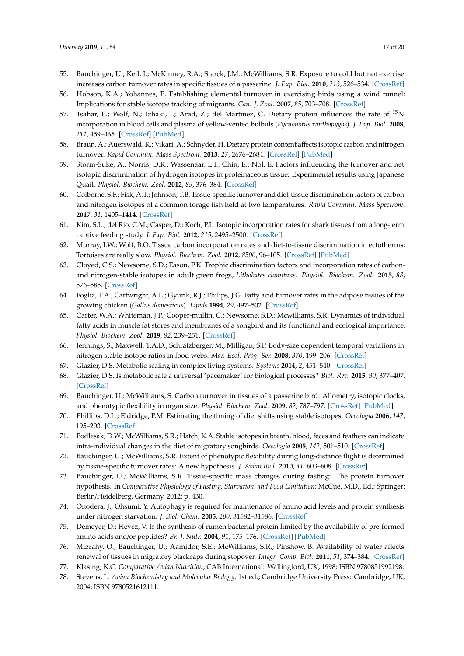- <span id="page-17-0"></span>55. Bauchinger, U.; Keil, J.; McKinney, R.A.; Starck, J.M.; McWilliams, S.R. Exposure to cold but not exercise increases carbon turnover rates in specific tissues of a passerine. *J. Exp. Biol.* **2010**, *213*, 526–534. [\[CrossRef\]](http://dx.doi.org/10.1242/jeb.037408)
- <span id="page-17-1"></span>56. Hobson, K.A.; Yohannes, E. Establishing elemental turnover in exercising birds using a wind tunnel: Implications for stable isotope tracking of migrants. *Can. J. Zool.* **2007**, *85*, 703–708. [\[CrossRef\]](http://dx.doi.org/10.1139/Z07-051)
- <span id="page-17-2"></span>57. Tsahar, E.; Wolf, N.; Izhaki, I.; Arad, Z.; del Martínez, C. Dietary protein influences the rate of <sup>15</sup>N incorporation in blood cells and plasma of yellow-vented bulbuls (*Pycnonotus xanthopygos*). *J. Exp. Biol.* **2008**, *211*, 459–465. [\[CrossRef\]](http://dx.doi.org/10.1242/jeb.013219) [\[PubMed\]](http://www.ncbi.nlm.nih.gov/pubmed/18204001)
- <span id="page-17-3"></span>58. Braun, A.; Auerswald, K.; Vikari, A.; Schnyder, H. Dietary protein content affects isotopic carbon and nitrogen turnover. *Rapid Commun. Mass Spectrom.* **2013**, *27*, 2676–2684. [\[CrossRef\]](http://dx.doi.org/10.1002/rcm.6737) [\[PubMed\]](http://www.ncbi.nlm.nih.gov/pubmed/24591029)
- <span id="page-17-4"></span>59. Storm-Suke, A.; Norris, D.R.; Wassenaar, L.I.; Chin, E.; Nol, E. Factors influencing the turnover and net isotopic discrimination of hydrogen isotopes in proteinaceous tissue: Experimental results using Japanese Quail. *Physiol. Biochem. Zool.* **2012**, *85*, 376–384. [\[CrossRef\]](http://dx.doi.org/10.1086/666476)
- <span id="page-17-5"></span>60. Colborne, S.F.; Fisk, A.T.; Johnson, T.B. Tissue-specific turnover and diet-tissue discrimination factors of carbon and nitrogen isotopes of a common forage fish held at two temperatures. *Rapid Commun. Mass Spectrom.* **2017**, *31*, 1405–1414. [\[CrossRef\]](http://dx.doi.org/10.1002/rcm.7922)
- <span id="page-17-6"></span>61. Kim, S.L.; del Rio, C.M.; Casper, D.; Koch, P.L. Isotopic incorporation rates for shark tissues from a long-term captive feeding study. *J. Exp. Biol.* **2012**, *215*, 2495–2500. [\[CrossRef\]](http://dx.doi.org/10.1242/jeb.070656)
- 62. Murray, I.W.; Wolf, B.O. Tissue carbon incorporation rates and diet-to-tissue discrimination in ectotherms: Tortoises are really slow. *Physiol. Biochem. Zool.* **2012**, *8500*, 96–105. [\[CrossRef\]](http://dx.doi.org/10.1086/663867) [\[PubMed\]](http://www.ncbi.nlm.nih.gov/pubmed/22237293)
- <span id="page-17-7"></span>63. Cloyed, C.S.; Newsome, S.D.; Eason, P.K. Trophic discrimination factors and incorporation rates of carbonand nitrogen-stable isotopes in adult green frogs, *Lithobates clamitans*. *Physiol. Biochem. Zool.* **2015**, *88*, 576–585. [\[CrossRef\]](http://dx.doi.org/10.1086/682576)
- <span id="page-17-8"></span>64. Foglia, T.A.; Cartwright, A.L.; Gyurik, R.J.; Philips, J.G. Fatty acid turnover rates in the adipose tissues of the growing chicken (*Gallus domesticus*). *Lipids* **1994**, *29*, 497–502. [\[CrossRef\]](http://dx.doi.org/10.1007/BF02578247)
- <span id="page-17-9"></span>65. Carter, W.A.; Whiteman, J.P.; Cooper-mullin, C.; Newsome, S.D.; Mcwilliams, S.R. Dynamics of individual fatty acids in muscle fat stores and membranes of a songbird and its functional and ecological importance. *Physiol. Biochem. Zool.* **2019**, *92*, 239–251. [\[CrossRef\]](http://dx.doi.org/10.1086/702667)
- <span id="page-17-10"></span>66. Jennings, S.; Maxwell, T.A.D.; Schratzberger, M.; Milligan, S.P. Body-size dependent temporal variations in nitrogen stable isotope ratios in food webs. *Mar. Ecol. Prog. Ser.* **2008**, *370*, 199–206. [\[CrossRef\]](http://dx.doi.org/10.3354/meps07653)
- <span id="page-17-12"></span><span id="page-17-11"></span>67. Glazier, D.S. Metabolic scaling in complex living systems. *Systems* **2014**, *2*, 451–540. [\[CrossRef\]](http://dx.doi.org/10.3390/systems2040451)
- 68. Glazier, D.S. Is metabolic rate a universal 'pacemaker' for biological processes? *Biol. Rev.* **2015**, *90*, 377–407. [\[CrossRef\]](http://dx.doi.org/10.1111/brv.12115)
- <span id="page-17-13"></span>69. Bauchinger, U.; McWilliams, S. Carbon turnover in tissues of a passerine bird: Allometry, isotopic clocks, and phenotypic flexibility in organ size. *Physiol. Biochem. Zool.* **2009**, *82*, 787–797. [\[CrossRef\]](http://dx.doi.org/10.1086/605548) [\[PubMed\]](http://www.ncbi.nlm.nih.gov/pubmed/19785542)
- <span id="page-17-14"></span>70. Phillips, D.L.; Eldridge, P.M. Estimating the timing of diet shifts using stable isotopes. *Oecologia* **2006**, *147*, 195–203. [\[CrossRef\]](http://dx.doi.org/10.1007/s00442-005-0292-0)
- <span id="page-17-15"></span>71. Podlesak, D.W.; McWilliams, S.R.; Hatch, K.A. Stable isotopes in breath, blood, feces and feathers can indicate intra-individual changes in the diet of migratory songbirds. *Oecologia* **2005**, *142*, 501–510. [\[CrossRef\]](http://dx.doi.org/10.1007/s00442-004-1737-6)
- <span id="page-17-16"></span>72. Bauchinger, U.; McWilliams, S.R. Extent of phenotypic flexibility during long-distance flight is determined by tissue-specific turnover rates: A new hypothesis. *J. Avian Biol.* **2010**, *41*, 603–608. [\[CrossRef\]](http://dx.doi.org/10.1111/j.1600-048X.2010.05137.x)
- <span id="page-17-17"></span>73. Bauchinger, U.; McWilliams, S.R. Tissue-specific mass changes during fasting: The protein turnover hypothesis. In *Comparative Physiology of Fasting, Starvation, and Food Limitation*; McCue, M.D., Ed.; Springer: Berlin/Heidelberg, Germany, 2012; p. 430.
- <span id="page-17-18"></span>74. Onodera, J.; Ohsumi, Y. Autophagy is required for maintenance of amino acid levels and protein synthesis under nitrogen starvation. *J. Biol. Chem.* **2005**, *280*, 31582–31586. [\[CrossRef\]](http://dx.doi.org/10.1074/jbc.M506736200)
- <span id="page-17-19"></span>75. Demeyer, D.; Fievez, V. Is the synthesis of rumen bacterial protein limited by the availability of pre-formed amino acids and/or peptides? *Br. J. Nutr.* **2004**, *91*, 175–176. [\[CrossRef\]](http://dx.doi.org/10.1079/BJN20031073) [\[PubMed\]](http://www.ncbi.nlm.nih.gov/pubmed/14756901)
- <span id="page-17-20"></span>76. Mizrahy, O.; Bauchinger, U.; Aamidor, S.E.; McWilliams, S.R.; Pinshow, B. Availability of water affects renewal of tissues in migratory blackcaps during stopover. *Integr. Comp. Biol.* **2011**, *51*, 374–384. [\[CrossRef\]](http://dx.doi.org/10.1093/icb/icr005)
- <span id="page-17-21"></span>77. Klasing, K.C. *Comparative Avian Nutrition*; CAB International: Wallingford, UK, 1998; ISBN 9780851992198.
- 78. Stevens, L. *Avian Biochemistry and Molecular Biology*, 1st ed.; Cambridge University Press: Cambridge, UK, 2004; ISBN 9780521612111.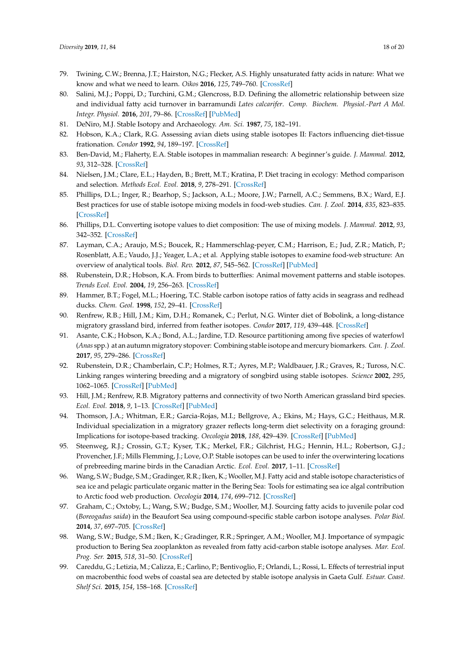- <span id="page-18-0"></span>79. Twining, C.W.; Brenna, J.T.; Hairston, N.G.; Flecker, A.S. Highly unsaturated fatty acids in nature: What we know and what we need to learn. *Oikos* **2016**, *125*, 749–760. [\[CrossRef\]](http://dx.doi.org/10.1111/oik.02910)
- <span id="page-18-1"></span>80. Salini, M.J.; Poppi, D.; Turchini, G.M.; Glencross, B.D. Defining the allometric relationship between size and individual fatty acid turnover in barramundi *Lates calcarifer*. *Comp. Biochem. Physiol.-Part A Mol. Integr. Physiol.* **2016**, *201*, 79–86. [\[CrossRef\]](http://dx.doi.org/10.1016/j.cbpa.2016.06.028) [\[PubMed\]](http://www.ncbi.nlm.nih.gov/pubmed/27371113)
- <span id="page-18-2"></span>81. DeNiro, M.J. Stable Isotopy and Archaeology. *Am. Sci.* **1987**, *75*, 182–191.
- 82. Hobson, K.A.; Clark, R.G. Assessing avian diets using stable isotopes II: Factors influencing diet-tissue frationation. *Condor* **1992**, *94*, 189–197. [\[CrossRef\]](http://dx.doi.org/10.2307/1368808)
- 83. Ben-David, M.; Flaherty, E.A. Stable isotopes in mammalian research: A beginner's guide. *J. Mammal.* **2012**, *93*, 312–328. [\[CrossRef\]](http://dx.doi.org/10.1644/11-MAMM-S-166.1)
- <span id="page-18-3"></span>84. Nielsen, J.M.; Clare, E.L.; Hayden, B.; Brett, M.T.; Kratina, P. Diet tracing in ecology: Method comparison and selection. *Methods Ecol. Evol.* **2018**, *9*, 278–291. [\[CrossRef\]](http://dx.doi.org/10.1111/2041-210X.12869)
- <span id="page-18-4"></span>85. Phillips, D.L.; Inger, R.; Bearhop, S.; Jackson, A.L.; Moore, J.W.; Parnell, A.C.; Semmens, B.X.; Ward, E.J. Best practices for use of stable isotope mixing models in food-web studies. *Can. J. Zool.* **2014**, *835*, 823–835. [\[CrossRef\]](http://dx.doi.org/10.1139/cjz-2014-0127)
- 86. Phillips, D.L. Converting isotope values to diet composition: The use of mixing models. *J. Mammal.* **2012**, *93*, 342–352. [\[CrossRef\]](http://dx.doi.org/10.1644/11-MAMM-S-158.1)
- <span id="page-18-5"></span>87. Layman, C.A.; Araujo, M.S.; Boucek, R.; Hammerschlag-peyer, C.M.; Harrison, E.; Jud, Z.R.; Matich, P.; Rosenblatt, A.E.; Vaudo, J.J.; Yeager, L.A.; et al. Applying stable isotopes to examine food-web structure: An overview of analytical tools. *Biol. Rev.* **2012**, *87*, 545–562. [\[CrossRef\]](http://dx.doi.org/10.1111/j.1469-185X.2011.00208.x) [\[PubMed\]](http://www.ncbi.nlm.nih.gov/pubmed/22051097)
- <span id="page-18-6"></span>88. Rubenstein, D.R.; Hobson, K.A. From birds to butterflies: Animal movement patterns and stable isotopes. *Trends Ecol. Evol.* **2004**, *19*, 256–263. [\[CrossRef\]](http://dx.doi.org/10.1016/j.tree.2004.03.017)
- <span id="page-18-7"></span>89. Hammer, B.T.; Fogel, M.L.; Hoering, T.C. Stable carbon isotope ratios of fatty acids in seagrass and redhead ducks. *Chem. Geol.* **1998**, *152*, 29–41. [\[CrossRef\]](http://dx.doi.org/10.1016/S0009-2541(98)00094-1)
- 90. Renfrew, R.B.; Hill, J.M.; Kim, D.H.; Romanek, C.; Perlut, N.G. Winter diet of Bobolink, a long-distance migratory grassland bird, inferred from feather isotopes. *Condor* **2017**, *119*, 439–448. [\[CrossRef\]](http://dx.doi.org/10.1650/CONDOR-16-162.1)
- <span id="page-18-8"></span>91. Asante, C.K.; Hobson, K.A.; Bond, A.L.; Jardine, T.D. Resource partitioning among five species of waterfowl (*Anas* spp.) at an autumn migratory stopover: Combining stable isotope and mercury biomarkers. *Can. J. Zool.* **2017**, *95*, 279–286. [\[CrossRef\]](http://dx.doi.org/10.1139/cjz-2016-0063)
- <span id="page-18-9"></span>92. Rubenstein, D.R.; Chamberlain, C.P.; Holmes, R.T.; Ayres, M.P.; Waldbauer, J.R.; Graves, R.; Tuross, N.C. Linking ranges wintering breeding and a migratory of songbird using stable isotopes. *Science* **2002**, *295*, 1062–1065. [\[CrossRef\]](http://dx.doi.org/10.1126/science.1067124) [\[PubMed\]](http://www.ncbi.nlm.nih.gov/pubmed/11834833)
- 93. Hill, J.M.; Renfrew, R.B. Migratory patterns and connectivity of two North American grassland bird species. *Ecol. Evol.* **2018**, *9*, 1–13. [\[CrossRef\]](http://dx.doi.org/10.1002/ece3.4795) [\[PubMed\]](http://www.ncbi.nlm.nih.gov/pubmed/30680148)
- 94. Thomson, J.A.; Whitman, E.R.; Garcia-Rojas, M.I.; Bellgrove, A.; Ekins, M.; Hays, G.C.; Heithaus, M.R. Individual specialization in a migratory grazer reflects long-term diet selectivity on a foraging ground: Implications for isotope-based tracking. *Oecologia* **2018**, *188*, 429–439. [\[CrossRef\]](http://dx.doi.org/10.1007/s00442-018-4218-z) [\[PubMed\]](http://www.ncbi.nlm.nih.gov/pubmed/29992416)
- <span id="page-18-10"></span>95. Steenweg, R.J.; Crossin, G.T.; Kyser, T.K.; Merkel, F.R.; Gilchrist, H.G.; Hennin, H.L.; Robertson, G.J.; Provencher, J.F.; Mills Flemming, J.; Love, O.P. Stable isotopes can be used to infer the overwintering locations of prebreeding marine birds in the Canadian Arctic. *Ecol. Evol.* **2017**, 1–11. [\[CrossRef\]](http://dx.doi.org/10.1002/ece3.3410)
- <span id="page-18-11"></span>96. Wang, S.W.; Budge, S.M.; Gradinger, R.R.; Iken, K.; Wooller, M.J. Fatty acid and stable isotope characteristics of sea ice and pelagic particulate organic matter in the Bering Sea: Tools for estimating sea ice algal contribution to Arctic food web production. *Oecologia* **2014**, *174*, 699–712. [\[CrossRef\]](http://dx.doi.org/10.1007/s00442-013-2832-3)
- <span id="page-18-12"></span>97. Graham, C.; Oxtoby, L.; Wang, S.W.; Budge, S.M.; Wooller, M.J. Sourcing fatty acids to juvenile polar cod (*Boreogadus saida*) in the Beaufort Sea using compound-specific stable carbon isotope analyses. *Polar Biol.* **2014**, *37*, 697–705. [\[CrossRef\]](http://dx.doi.org/10.1007/s00300-014-1470-5)
- <span id="page-18-13"></span>98. Wang, S.W.; Budge, S.M.; Iken, K.; Gradinger, R.R.; Springer, A.M.; Wooller, M.J. Importance of sympagic production to Bering Sea zooplankton as revealed from fatty acid-carbon stable isotope analyses. *Mar. Ecol. Prog. Ser.* **2015**, *518*, 31–50. [\[CrossRef\]](http://dx.doi.org/10.3354/meps11076)
- 99. Careddu, G.; Letizia, M.; Calizza, E.; Carlino, P.; Bentivoglio, F.; Orlandi, L.; Rossi, L. Effects of terrestrial input on macrobenthic food webs of coastal sea are detected by stable isotope analysis in Gaeta Gulf. *Estuar. Coast. Shelf Sci.* **2015**, *154*, 158–168. [\[CrossRef\]](http://dx.doi.org/10.1016/j.ecss.2015.01.013)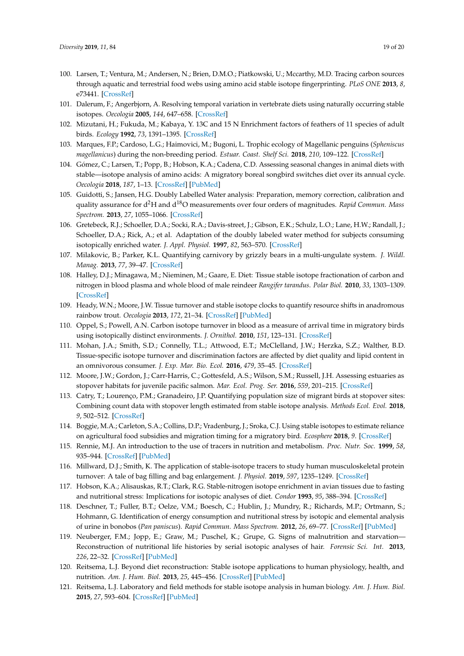- <span id="page-19-0"></span>100. Larsen, T.; Ventura, M.; Andersen, N.; Brien, D.M.O.; Piatkowski, U.; Mccarthy, M.D. Tracing carbon sources through aquatic and terrestrial food webs using amino acid stable isotope fingerprinting. *PLoS ONE* **2013**, *8*, e73441. [\[CrossRef\]](http://dx.doi.org/10.1371/journal.pone.0073441)
- <span id="page-19-1"></span>101. Dalerum, F.; Angerbjorn, A. Resolving temporal variation in vertebrate diets using naturally occurring stable isotopes. *Oecologia* **2005**, *144*, 647–658. [\[CrossRef\]](http://dx.doi.org/10.1007/s00442-005-0118-0)
- <span id="page-19-2"></span>102. Mizutani, H.; Fukuda, M.; Kabaya, Y. 13C and 15 N Enrichment factors of feathers of 11 species of adult birds. *Ecology* **1992**, *73*, 1391–1395. [\[CrossRef\]](http://dx.doi.org/10.2307/1940684)
- <span id="page-19-3"></span>103. Marques, F.P.; Cardoso, L.G.; Haimovici, M.; Bugoni, L. Trophic ecology of Magellanic penguins (*Spheniscus magellanicus*) during the non-breeding period. *Estuar. Coast. Shelf Sci.* **2018**, *210*, 109–122. [\[CrossRef\]](http://dx.doi.org/10.1016/j.ecss.2018.06.001)
- <span id="page-19-4"></span>104. Gómez, C.; Larsen, T.; Popp, B.; Hobson, K.A.; Cadena, C.D. Assessing seasonal changes in animal diets with stable—isotope analysis of amino acids: A migratory boreal songbird switches diet over its annual cycle. *Oecologia* **2018**, *187*, 1–13. [\[CrossRef\]](http://dx.doi.org/10.1007/s00442-018-4113-7) [\[PubMed\]](http://www.ncbi.nlm.nih.gov/pubmed/29564539)
- <span id="page-19-5"></span>105. Guidotti, S.; Jansen, H.G. Doubly Labelled Water analysis: Preparation, memory correction, calibration and quality assurance for d2H and d18O measurements over four orders of magnitudes. *Rapid Commun. Mass Spectrom.* **2013**, *27*, 1055–1066. [\[CrossRef\]](http://dx.doi.org/10.1002/rcm.6540)
- <span id="page-19-6"></span>106. Gretebeck, R.J.; Schoeller, D.A.; Socki, R.A.; Davis-street, J.; Gibson, E.K.; Schulz, L.O.; Lane, H.W.; Randall, J.; Schoeller, D.A.; Rick, A.; et al. Adaptation of the doubly labeled water method for subjects consuming isotopically enriched water. *J. Appl. Physiol.* **1997**, *82*, 563–570. [\[CrossRef\]](http://dx.doi.org/10.1152/jappl.1997.82.2.563)
- 107. Milakovic, B.; Parker, K.L. Quantifying carnivory by grizzly bears in a multi-ungulate system. *J. Wildl. Manag.* **2013**, *77*, 39–47. [\[CrossRef\]](http://dx.doi.org/10.1002/jwmg.434)
- <span id="page-19-7"></span>108. Halley, D.J.; Minagawa, M.; Nieminen, M.; Gaare, E. Diet: Tissue stable isotope fractionation of carbon and nitrogen in blood plasma and whole blood of male reindeer *Rangifer tarandus*. *Polar Biol.* **2010**, *33*, 1303–1309. [\[CrossRef\]](http://dx.doi.org/10.1007/s00300-010-0817-9)
- <span id="page-19-8"></span>109. Heady, W.N.; Moore, J.W. Tissue turnover and stable isotope clocks to quantify resource shifts in anadromous rainbow trout. *Oecologia* **2013**, *172*, 21–34. [\[CrossRef\]](http://dx.doi.org/10.1007/s00442-012-2483-9) [\[PubMed\]](http://www.ncbi.nlm.nih.gov/pubmed/23183819)
- 110. Oppel, S.; Powell, A.N. Carbon isotope turnover in blood as a measure of arrival time in migratory birds using isotopically distinct environments. *J. Ornithol.* **2010**, *151*, 123–131. [\[CrossRef\]](http://dx.doi.org/10.1007/s10336-009-0434-y)
- <span id="page-19-9"></span>111. Mohan, J.A.; Smith, S.D.; Connelly, T.L.; Attwood, E.T.; McClelland, J.W.; Herzka, S.Z.; Walther, B.D. Tissue-specific isotope turnover and discrimination factors are affected by diet quality and lipid content in an omnivorous consumer. *J. Exp. Mar. Bio. Ecol.* **2016**, *479*, 35–45. [\[CrossRef\]](http://dx.doi.org/10.1016/j.jembe.2016.03.002)
- <span id="page-19-10"></span>112. Moore, J.W.; Gordon, J.; Carr-Harris, C.; Gottesfeld, A.S.; Wilson, S.M.; Russell, J.H. Assessing estuaries as stopover habitats for juvenile pacific salmon. *Mar. Ecol. Prog. Ser.* **2016**, *559*, 201–215. [\[CrossRef\]](http://dx.doi.org/10.3354/meps11933)
- <span id="page-19-11"></span>113. Catry, T.; Lourenço, P.M.; Granadeiro, J.P. Quantifying population size of migrant birds at stopover sites: Combining count data with stopover length estimated from stable isotope analysis. *Methods Ecol. Evol.* **2018**, *9*, 502–512. [\[CrossRef\]](http://dx.doi.org/10.1111/2041-210X.12913)
- <span id="page-19-12"></span>114. Boggie, M.A.; Carleton, S.A.; Collins, D.P.; Vradenburg, J.; Sroka, C.J. Using stable isotopes to estimate reliance on agricultural food subsidies and migration timing for a migratory bird. *Ecosphere* **2018**, *9*. [\[CrossRef\]](http://dx.doi.org/10.1002/ecs2.2083)
- <span id="page-19-13"></span>115. Rennie, M.J. An introduction to the use of tracers in nutrition and metabolism. *Proc. Nutr. Soc.* **1999**, *58*, 935–944. [\[CrossRef\]](http://dx.doi.org/10.1017/S002966519900124X) [\[PubMed\]](http://www.ncbi.nlm.nih.gov/pubmed/10817161)
- <span id="page-19-14"></span>116. Millward, D.J.; Smith, K. The application of stable-isotope tracers to study human musculoskeletal protein turnover: A tale of bag filling and bag enlargement. *J. Physiol.* **2019**, *597*, 1235–1249. [\[CrossRef\]](http://dx.doi.org/10.1113/JP275430)
- <span id="page-19-15"></span>117. Hobson, K.A.; Alisauskas, R.T.; Clark, R.G. Stable-nitrogen isotope enrichment in avian tissues due to fasting and nutritional stress: Implications for isotopic analyses of diet. *Condor* **1993**, *95*, 388–394. [\[CrossRef\]](http://dx.doi.org/10.2307/1369361)
- <span id="page-19-16"></span>118. Deschner, T.; Fuller, B.T.; Oelze, V.M.; Boesch, C.; Hublin, J.; Mundry, R.; Richards, M.P.; Ortmann, S.; Hohmann, G. Identification of energy consumption and nutritional stress by isotopic and elemental analysis of urine in bonobos (*Pan paniscus*). *Rapid Commun. Mass Spectrom.* **2012**, *26*, 69–77. [\[CrossRef\]](http://dx.doi.org/10.1002/rcm.5312) [\[PubMed\]](http://www.ncbi.nlm.nih.gov/pubmed/22215580)
- <span id="page-19-17"></span>119. Neuberger, F.M.; Jopp, E.; Graw, M.; Puschel, K.; Grupe, G. Signs of malnutrition and starvation— Reconstruction of nutritional life histories by serial isotopic analyses of hair. *Forensic Sci. Int.* **2013**, *226*, 22–32. [\[CrossRef\]](http://dx.doi.org/10.1016/j.forsciint.2012.10.037) [\[PubMed\]](http://www.ncbi.nlm.nih.gov/pubmed/23374882)
- <span id="page-19-18"></span>120. Reitsema, L.J. Beyond diet reconstruction: Stable isotope applications to human physiology, health, and nutrition. *Am. J. Hum. Biol.* **2013**, *25*, 445–456. [\[CrossRef\]](http://dx.doi.org/10.1002/ajhb.22398) [\[PubMed\]](http://www.ncbi.nlm.nih.gov/pubmed/23784719)
- <span id="page-19-19"></span>121. Reitsema, L.J. Laboratory and field methods for stable isotope analysis in human biology. *Am. J. Hum. Biol.* **2015**, *27*, 593–604. [\[CrossRef\]](http://dx.doi.org/10.1002/ajhb.22754) [\[PubMed\]](http://www.ncbi.nlm.nih.gov/pubmed/26202876)